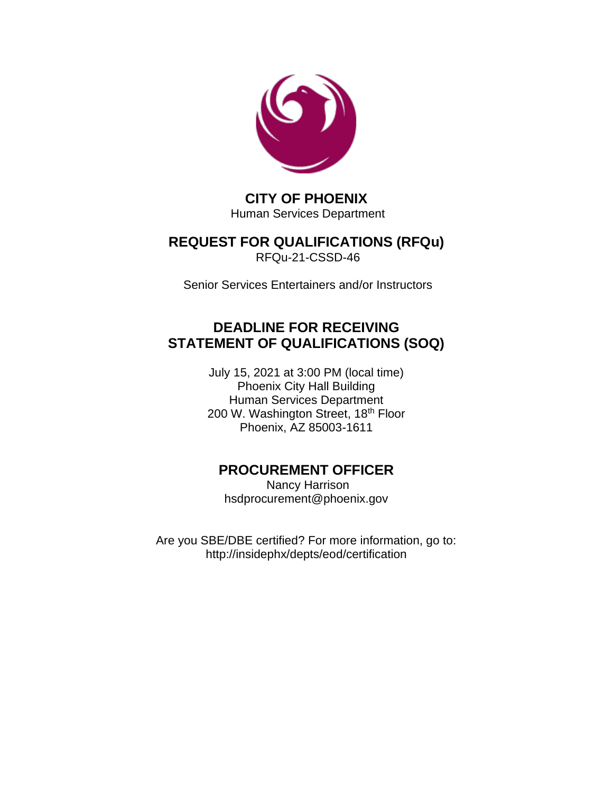

# **CITY OF PHOENIX** Human Services Department

# **REQUEST FOR QUALIFICATIONS (RFQu)**

RFQu-21-CSSD-46

Senior Services Entertainers and/or Instructors

# **DEADLINE FOR RECEIVING STATEMENT OF QUALIFICATIONS (SOQ)**

July 15, 2021 at 3:00 PM (local time) Phoenix City Hall Building Human Services Department 200 W. Washington Street, 18th Floor Phoenix, AZ 85003-1611

# **PROCUREMENT OFFICER**

Nancy Harrison hsdprocurement@phoenix.gov

Are you SBE/DBE certified? For more information, go to: http://insidephx/depts/eod/certification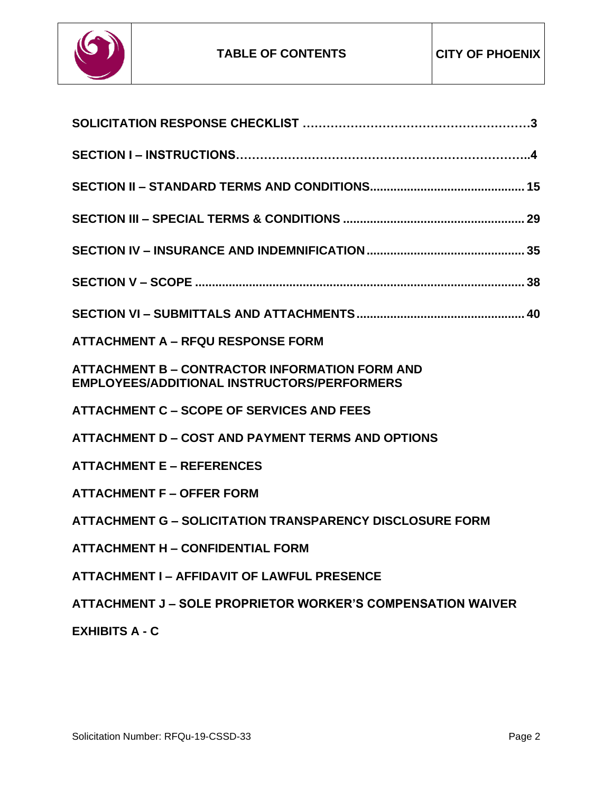

| <b>ATTACHMENT A - RFQU RESPONSE FORM</b>                                                                    |
|-------------------------------------------------------------------------------------------------------------|
| <b>ATTACHMENT B – CONTRACTOR INFORMATION FORM AND</b><br><b>EMPLOYEES/ADDITIONAL INSTRUCTORS/PERFORMERS</b> |
| <b>ATTACHMENT C - SCOPE OF SERVICES AND FEES</b>                                                            |
| <b>ATTACHMENT D - COST AND PAYMENT TERMS AND OPTIONS</b>                                                    |
| <b>ATTACHMENT E - REFERENCES</b>                                                                            |
| <b>ATTACHMENT F - OFFER FORM</b>                                                                            |
| <b>ATTACHMENT G - SOLICITATION TRANSPARENCY DISCLOSURE FORM</b>                                             |
| <b>ATTACHMENT H - CONFIDENTIAL FORM</b>                                                                     |
| <b>ATTACHMENT I - AFFIDAVIT OF LAWFUL PRESENCE</b>                                                          |
| ATTACHMENT J - SOLE PROPRIETOR WORKER'S COMPENSATION WAIVER                                                 |
| <b>EXHIBITS A - C</b>                                                                                       |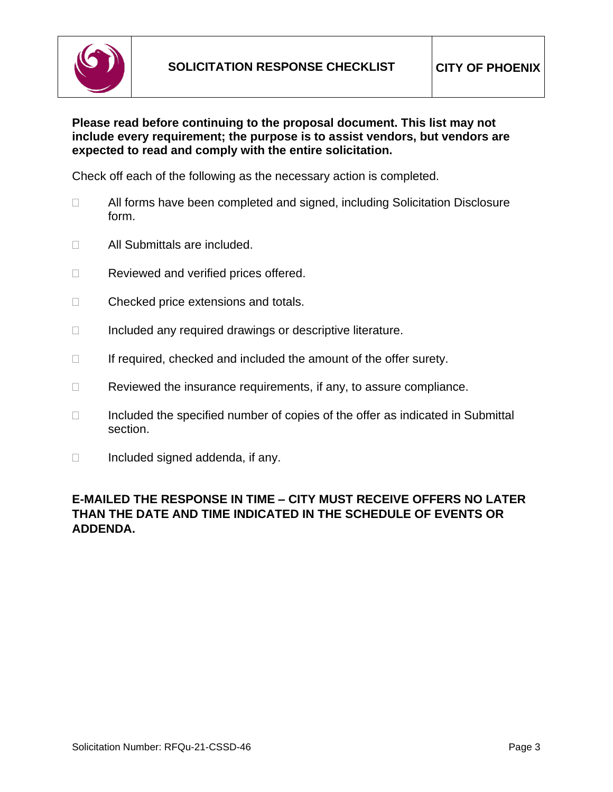

### **Please read before continuing to the proposal document. This list may not include every requirement; the purpose is to assist vendors, but vendors are expected to read and comply with the entire solicitation.**

Check off each of the following as the necessary action is completed.

- □ All forms have been completed and signed, including Solicitation Disclosure form.
- □ All Submittals are included.
- □ Reviewed and verified prices offered.
- □ Checked price extensions and totals.
- $\Box$  Included any required drawings or descriptive literature.
- $\Box$  If required, checked and included the amount of the offer surety.
- $\Box$  Reviewed the insurance requirements, if any, to assure compliance.
- $\Box$  Included the specified number of copies of the offer as indicated in Submittal section.
- $\Box$  Included signed addenda, if any.

### **E-MAILED THE RESPONSE IN TIME – CITY MUST RECEIVE OFFERS NO LATER THAN THE DATE AND TIME INDICATED IN THE SCHEDULE OF EVENTS OR ADDENDA.**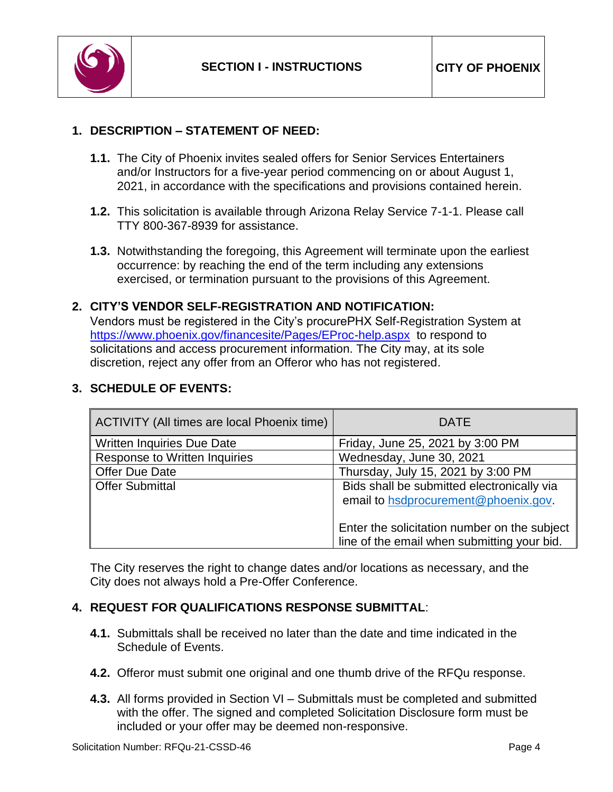

# **1. DESCRIPTION – STATEMENT OF NEED:**

- **1.1.** The City of Phoenix invites sealed offers for Senior Services Entertainers and/or Instructors for a five-year period commencing on or about August 1, 2021, in accordance with the specifications and provisions contained herein.
- **1.2.** This solicitation is available through Arizona Relay Service 7-1-1. Please call TTY 800-367-8939 for assistance.
- **1.3.** Notwithstanding the foregoing, this Agreement will terminate upon the earliest occurrence: by reaching the end of the term including any extensions exercised, or termination pursuant to the provisions of this Agreement.

### **2. CITY'S VENDOR SELF-REGISTRATION AND NOTIFICATION:**

Vendors must be registered in the City's procurePHX Self-Registration System at <https://www.phoenix.gov/financesite/Pages/EProc-help.aspx>to respond to solicitations and access procurement information. The City may, at its sole discretion, reject any offer from an Offeror who has not registered.

### **3. SCHEDULE OF EVENTS:**

| ACTIVITY (All times are local Phoenix time) | <b>DATE</b>                                                                                 |
|---------------------------------------------|---------------------------------------------------------------------------------------------|
| Written Inquiries Due Date                  | Friday, June 25, 2021 by 3:00 PM                                                            |
| Response to Written Inquiries               | Wednesday, June 30, 2021                                                                    |
| Offer Due Date                              | Thursday, July 15, 2021 by 3:00 PM                                                          |
| <b>Offer Submittal</b>                      | Bids shall be submitted electronically via<br>email to hsdprocurement@phoenix.gov.          |
|                                             | Enter the solicitation number on the subject<br>line of the email when submitting your bid. |

The City reserves the right to change dates and/or locations as necessary, and the City does not always hold a Pre-Offer Conference.

### **4. REQUEST FOR QUALIFICATIONS RESPONSE SUBMITTAL**:

- **4.1.** Submittals shall be received no later than the date and time indicated in the Schedule of Events.
- **4.2.** Offeror must submit one original and one thumb drive of the RFQu response.
- **4.3.** All forms provided in Section VI Submittals must be completed and submitted with the offer. The signed and completed Solicitation Disclosure form must be included or your offer may be deemed non-responsive.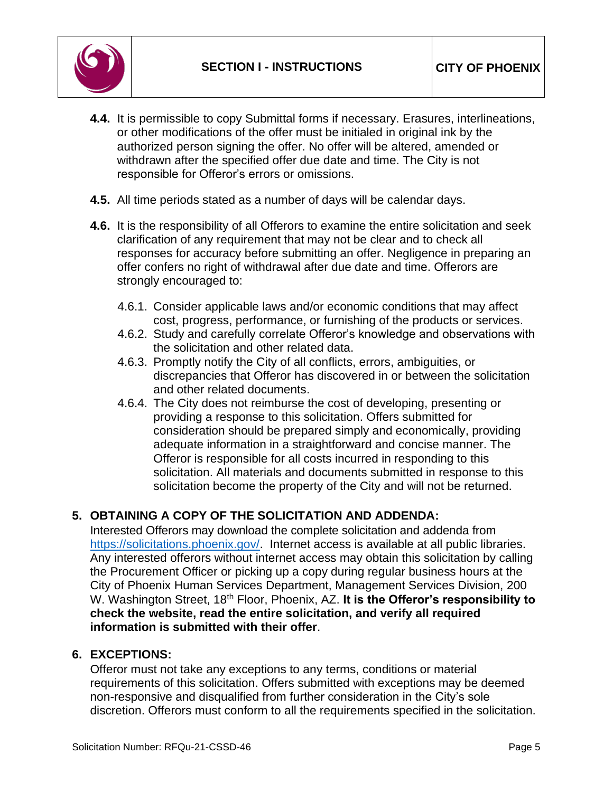

- **4.4.** It is permissible to copy Submittal forms if necessary. Erasures, interlineations, or other modifications of the offer must be initialed in original ink by the authorized person signing the offer. No offer will be altered, amended or withdrawn after the specified offer due date and time. The City is not responsible for Offeror's errors or omissions.
- **4.5.** All time periods stated as a number of days will be calendar days.
- **4.6.** It is the responsibility of all Offerors to examine the entire solicitation and seek clarification of any requirement that may not be clear and to check all responses for accuracy before submitting an offer. Negligence in preparing an offer confers no right of withdrawal after due date and time. Offerors are strongly encouraged to:
	- 4.6.1. Consider applicable laws and/or economic conditions that may affect cost, progress, performance, or furnishing of the products or services.
	- 4.6.2. Study and carefully correlate Offeror's knowledge and observations with the solicitation and other related data.
	- 4.6.3. Promptly notify the City of all conflicts, errors, ambiguities, or discrepancies that Offeror has discovered in or between the solicitation and other related documents.
	- 4.6.4. The City does not reimburse the cost of developing, presenting or providing a response to this solicitation. Offers submitted for consideration should be prepared simply and economically, providing adequate information in a straightforward and concise manner. The Offeror is responsible for all costs incurred in responding to this solicitation. All materials and documents submitted in response to this solicitation become the property of the City and will not be returned.

# **5. OBTAINING A COPY OF THE SOLICITATION AND ADDENDA:**

Interested Offerors may download the complete solicitation and addenda from [https://solicitations.phoenix.gov/.](https://solicitations.phoenix.gov/) Internet access is available at all public libraries. Any interested offerors without internet access may obtain this solicitation by calling the Procurement Officer or picking up a copy during regular business hours at the City of Phoenix Human Services Department, Management Services Division, 200 W. Washington Street, 18<sup>th</sup> Floor, Phoenix, AZ. It is the Offeror's responsibility to **check the website, read the entire solicitation, and verify all required information is submitted with their offer**.

#### **6. EXCEPTIONS:**

Offeror must not take any exceptions to any terms, conditions or material requirements of this solicitation. Offers submitted with exceptions may be deemed non-responsive and disqualified from further consideration in the City's sole discretion. Offerors must conform to all the requirements specified in the solicitation.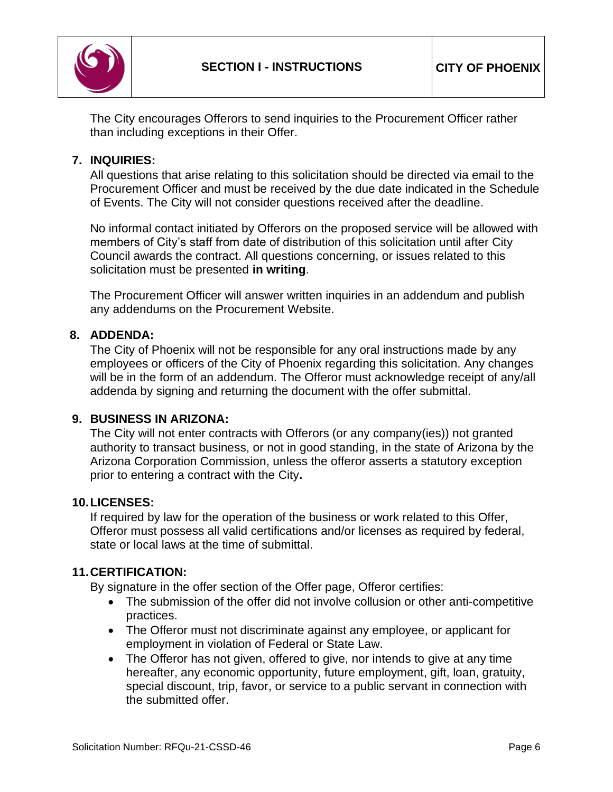

The City encourages Offerors to send inquiries to the Procurement Officer rather than including exceptions in their Offer.

### **7. INQUIRIES:**

All questions that arise relating to this solicitation should be directed via email to the Procurement Officer and must be received by the due date indicated in the Schedule of Events. The City will not consider questions received after the deadline.

No informal contact initiated by Offerors on the proposed service will be allowed with members of City's staff from date of distribution of this solicitation until after City Council awards the contract. All questions concerning, or issues related to this solicitation must be presented **in writing**.

The Procurement Officer will answer written inquiries in an addendum and publish any addendums on the Procurement Website.

### **8. ADDENDA:**

The City of Phoenix will not be responsible for any oral instructions made by any employees or officers of the City of Phoenix regarding this solicitation. Any changes will be in the form of an addendum. The Offeror must acknowledge receipt of any/all addenda by signing and returning the document with the offer submittal.

### **9. BUSINESS IN ARIZONA:**

The City will not enter contracts with Offerors (or any company(ies)) not granted authority to transact business, or not in good standing, in the state of Arizona by the Arizona Corporation Commission, unless the offeror asserts a statutory exception prior to entering a contract with the City**.**

#### **10.LICENSES:**

If required by law for the operation of the business or work related to this Offer, Offeror must possess all valid certifications and/or licenses as required by federal, state or local laws at the time of submittal.

### **11.CERTIFICATION:**

By signature in the offer section of the Offer page, Offeror certifies:

- The submission of the offer did not involve collusion or other anti-competitive practices.
- The Offeror must not discriminate against any employee, or applicant for employment in violation of Federal or State Law.
- The Offeror has not given, offered to give, nor intends to give at any time hereafter, any economic opportunity, future employment, gift, loan, gratuity, special discount, trip, favor, or service to a public servant in connection with the submitted offer.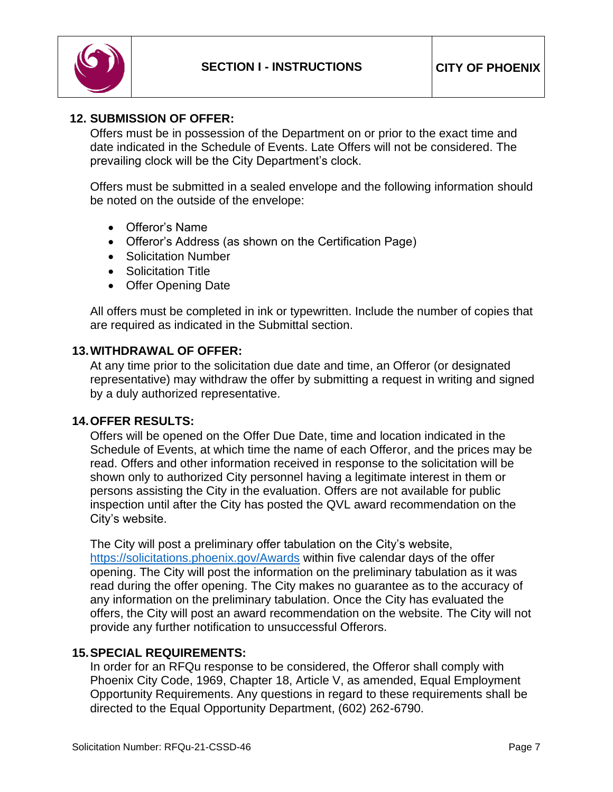

### **12. SUBMISSION OF OFFER:**

Offers must be in possession of the Department on or prior to the exact time and date indicated in the Schedule of Events. Late Offers will not be considered. The prevailing clock will be the City Department's clock.

Offers must be submitted in a sealed envelope and the following information should be noted on the outside of the envelope:

- Offeror's Name
- Offeror's Address (as shown on the Certification Page)
- Solicitation Number
- Solicitation Title
- Offer Opening Date

All offers must be completed in ink or typewritten. Include the number of copies that are required as indicated in the Submittal section.

#### **13.WITHDRAWAL OF OFFER:**

At any time prior to the solicitation due date and time, an Offeror (or designated representative) may withdraw the offer by submitting a request in writing and signed by a duly authorized representative.

#### **14.OFFER RESULTS:**

Offers will be opened on the Offer Due Date, time and location indicated in the Schedule of Events, at which time the name of each Offeror, and the prices may be read. Offers and other information received in response to the solicitation will be shown only to authorized City personnel having a legitimate interest in them or persons assisting the City in the evaluation. Offers are not available for public inspection until after the City has posted the QVL award recommendation on the City's website.

The City will post a preliminary offer tabulation on the City's website, <https://solicitations.phoenix.gov/Awards> within five calendar days of the offer opening. The City will post the information on the preliminary tabulation as it was read during the offer opening. The City makes no guarantee as to the accuracy of any information on the preliminary tabulation. Once the City has evaluated the offers, the City will post an award recommendation on the website. The City will not provide any further notification to unsuccessful Offerors.

#### **15.SPECIAL REQUIREMENTS:**

In order for an RFQu response to be considered, the Offeror shall comply with Phoenix City Code, 1969, Chapter 18, Article V, as amended, Equal Employment Opportunity Requirements. Any questions in regard to these requirements shall be directed to the Equal Opportunity Department, (602) 262-6790.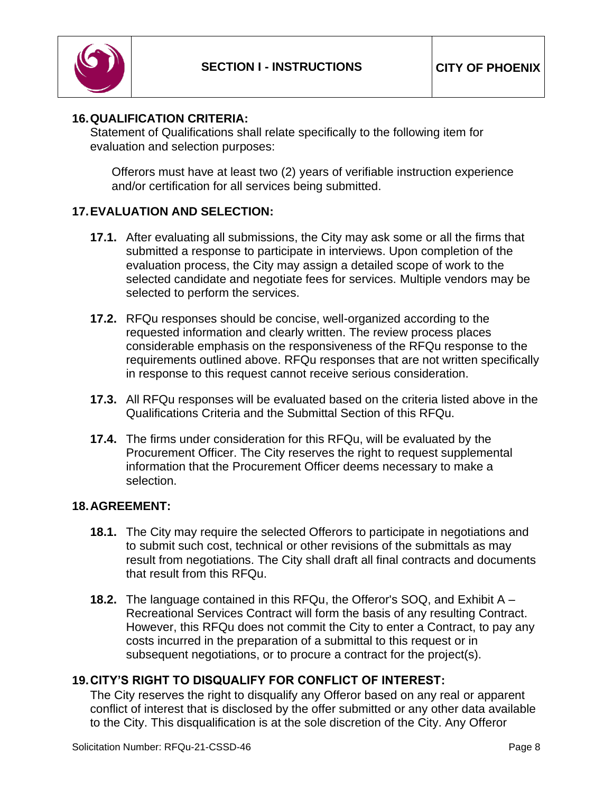

### **16.QUALIFICATION CRITERIA:**

Statement of Qualifications shall relate specifically to the following item for evaluation and selection purposes:

Offerors must have at least two (2) years of verifiable instruction experience and/or certification for all services being submitted.

# **17.EVALUATION AND SELECTION:**

- **17.1.** After evaluating all submissions, the City may ask some or all the firms that submitted a response to participate in interviews. Upon completion of the evaluation process, the City may assign a detailed scope of work to the selected candidate and negotiate fees for services. Multiple vendors may be selected to perform the services.
- **17.2.** RFQu responses should be concise, well-organized according to the requested information and clearly written. The review process places considerable emphasis on the responsiveness of the RFQu response to the requirements outlined above. RFQu responses that are not written specifically in response to this request cannot receive serious consideration.
- **17.3.** All RFQu responses will be evaluated based on the criteria listed above in the Qualifications Criteria and the Submittal Section of this RFQu.
- **17.4.** The firms under consideration for this RFQu, will be evaluated by the Procurement Officer. The City reserves the right to request supplemental information that the Procurement Officer deems necessary to make a selection.

#### **18.AGREEMENT:**

- **18.1.** The City may require the selected Offerors to participate in negotiations and to submit such cost, technical or other revisions of the submittals as may result from negotiations. The City shall draft all final contracts and documents that result from this RFQu.
- **18.2.** The language contained in this RFQu, the Offeror's SOQ, and Exhibit A Recreational Services Contract will form the basis of any resulting Contract. However, this RFQu does not commit the City to enter a Contract, to pay any costs incurred in the preparation of a submittal to this request or in subsequent negotiations, or to procure a contract for the project(s).

# **19.CITY'S RIGHT TO DISQUALIFY FOR CONFLICT OF INTEREST:**

The City reserves the right to disqualify any Offeror based on any real or apparent conflict of interest that is disclosed by the offer submitted or any other data available to the City. This disqualification is at the sole discretion of the City. Any Offeror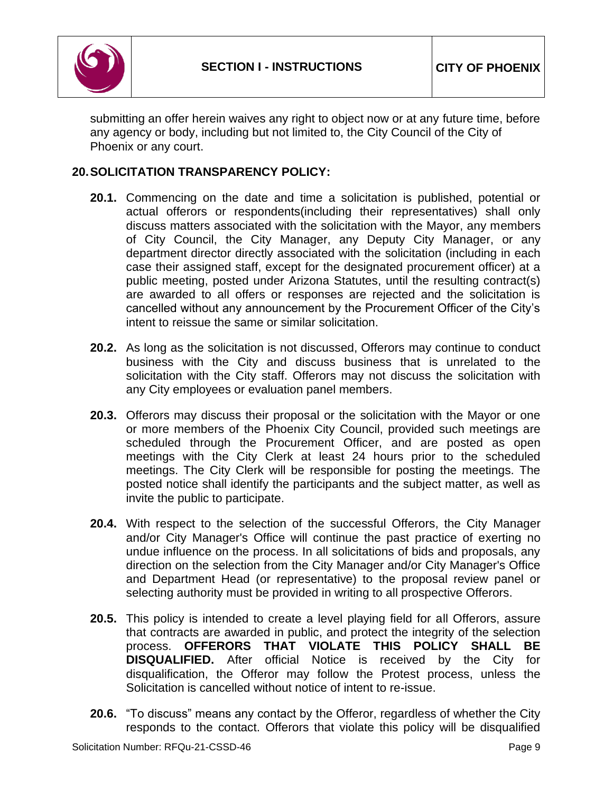

submitting an offer herein waives any right to object now or at any future time, before any agency or body, including but not limited to, the City Council of the City of Phoenix or any court.

# **20.SOLICITATION TRANSPARENCY POLICY:**

- **20.1.** Commencing on the date and time a solicitation is published, potential or actual offerors or respondents(including their representatives) shall only discuss matters associated with the solicitation with the Mayor, any members of City Council, the City Manager, any Deputy City Manager, or any department director directly associated with the solicitation (including in each case their assigned staff, except for the designated procurement officer) at a public meeting, posted under Arizona Statutes, until the resulting contract(s) are awarded to all offers or responses are rejected and the solicitation is cancelled without any announcement by the Procurement Officer of the City's intent to reissue the same or similar solicitation.
- **20.2.** As long as the solicitation is not discussed, Offerors may continue to conduct business with the City and discuss business that is unrelated to the solicitation with the City staff. Offerors may not discuss the solicitation with any City employees or evaluation panel members.
- **20.3.** Offerors may discuss their proposal or the solicitation with the Mayor or one or more members of the Phoenix City Council, provided such meetings are scheduled through the Procurement Officer, and are posted as open meetings with the City Clerk at least 24 hours prior to the scheduled meetings. The City Clerk will be responsible for posting the meetings. The posted notice shall identify the participants and the subject matter, as well as invite the public to participate.
- **20.4.** With respect to the selection of the successful Offerors, the City Manager and/or City Manager's Office will continue the past practice of exerting no undue influence on the process. In all solicitations of bids and proposals, any direction on the selection from the City Manager and/or City Manager's Office and Department Head (or representative) to the proposal review panel or selecting authority must be provided in writing to all prospective Offerors.
- **20.5.** This policy is intended to create a level playing field for all Offerors, assure that contracts are awarded in public, and protect the integrity of the selection process. **OFFERORS THAT VIOLATE THIS POLICY SHALL BE DISQUALIFIED.** After official Notice is received by the City for disqualification, the Offeror may follow the Protest process, unless the Solicitation is cancelled without notice of intent to re-issue.
- **20.6.** "To discuss" means any contact by the Offeror, regardless of whether the City responds to the contact. Offerors that violate this policy will be disqualified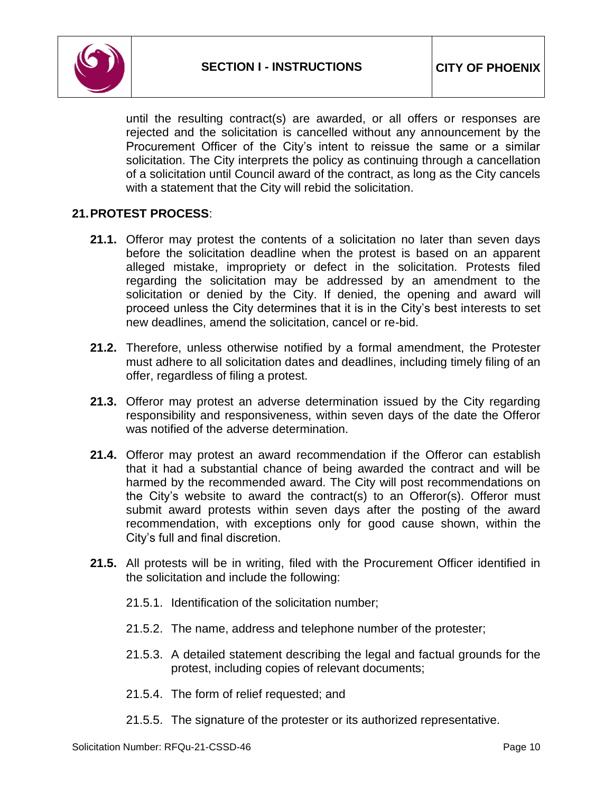

until the resulting contract(s) are awarded, or all offers or responses are rejected and the solicitation is cancelled without any announcement by the Procurement Officer of the City's intent to reissue the same or a similar solicitation. The City interprets the policy as continuing through a cancellation of a solicitation until Council award of the contract, as long as the City cancels with a statement that the City will rebid the solicitation.

#### **21.PROTEST PROCESS**:

- **21.1.** Offeror may protest the contents of a solicitation no later than seven days before the solicitation deadline when the protest is based on an apparent alleged mistake, impropriety or defect in the solicitation. Protests filed regarding the solicitation may be addressed by an amendment to the solicitation or denied by the City. If denied, the opening and award will proceed unless the City determines that it is in the City's best interests to set new deadlines, amend the solicitation, cancel or re-bid.
- **21.2.** Therefore, unless otherwise notified by a formal amendment, the Protester must adhere to all solicitation dates and deadlines, including timely filing of an offer, regardless of filing a protest.
- **21.3.** Offeror may protest an adverse determination issued by the City regarding responsibility and responsiveness, within seven days of the date the Offeror was notified of the adverse determination.
- **21.4.** Offeror may protest an award recommendation if the Offeror can establish that it had a substantial chance of being awarded the contract and will be harmed by the recommended award. The City will post recommendations on the City's website to award the contract(s) to an Offeror(s). Offeror must submit award protests within seven days after the posting of the award recommendation, with exceptions only for good cause shown, within the City's full and final discretion.
- **21.5.** All protests will be in writing, filed with the Procurement Officer identified in the solicitation and include the following:
	- 21.5.1. Identification of the solicitation number;
	- 21.5.2. The name, address and telephone number of the protester;
	- 21.5.3. A detailed statement describing the legal and factual grounds for the protest, including copies of relevant documents;
	- 21.5.4. The form of relief requested; and
	- 21.5.5. The signature of the protester or its authorized representative.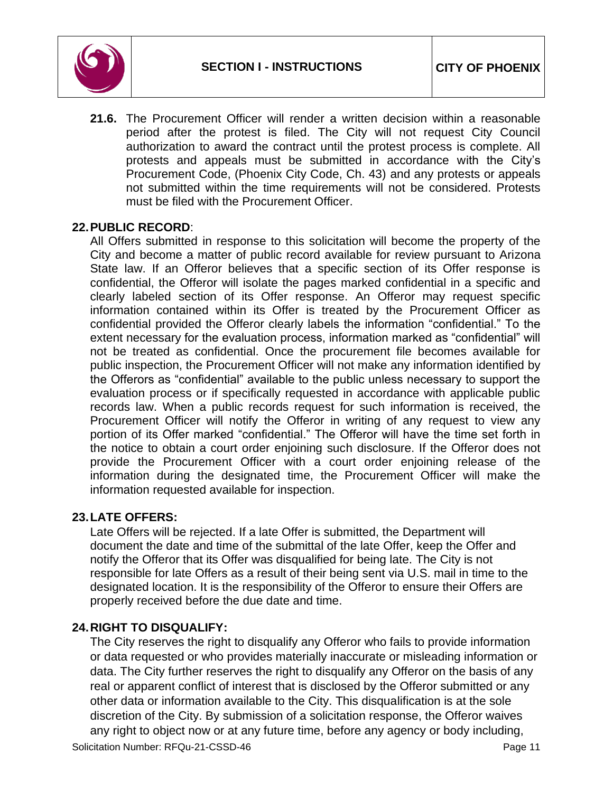**21.6.** The Procurement Officer will render a written decision within a reasonable period after the protest is filed. The City will not request City Council authorization to award the contract until the protest process is complete. All protests and appeals must be submitted in accordance with the City's Procurement Code, (Phoenix City Code, Ch. 43) and any protests or appeals not submitted within the time requirements will not be considered. Protests must be filed with the Procurement Officer.

### **22.PUBLIC RECORD**:

All Offers submitted in response to this solicitation will become the property of the City and become a matter of public record available for review pursuant to Arizona State law. If an Offeror believes that a specific section of its Offer response is confidential, the Offeror will isolate the pages marked confidential in a specific and clearly labeled section of its Offer response. An Offeror may request specific information contained within its Offer is treated by the Procurement Officer as confidential provided the Offeror clearly labels the information "confidential." To the extent necessary for the evaluation process, information marked as "confidential" will not be treated as confidential. Once the procurement file becomes available for public inspection, the Procurement Officer will not make any information identified by the Offerors as "confidential" available to the public unless necessary to support the evaluation process or if specifically requested in accordance with applicable public records law. When a public records request for such information is received, the Procurement Officer will notify the Offeror in writing of any request to view any portion of its Offer marked "confidential." The Offeror will have the time set forth in the notice to obtain a court order enjoining such disclosure. If the Offeror does not provide the Procurement Officer with a court order enjoining release of the information during the designated time, the Procurement Officer will make the information requested available for inspection.

# **23.LATE OFFERS:**

Late Offers will be rejected. If a late Offer is submitted, the Department will document the date and time of the submittal of the late Offer, keep the Offer and notify the Offeror that its Offer was disqualified for being late. The City is not responsible for late Offers as a result of their being sent via U.S. mail in time to the designated location. It is the responsibility of the Offeror to ensure their Offers are properly received before the due date and time.

#### **24.RIGHT TO DISQUALIFY:**

The City reserves the right to disqualify any Offeror who fails to provide information or data requested or who provides materially inaccurate or misleading information or data. The City further reserves the right to disqualify any Offeror on the basis of any real or apparent conflict of interest that is disclosed by the Offeror submitted or any other data or information available to the City. This disqualification is at the sole discretion of the City. By submission of a solicitation response, the Offeror waives any right to object now or at any future time, before any agency or body including,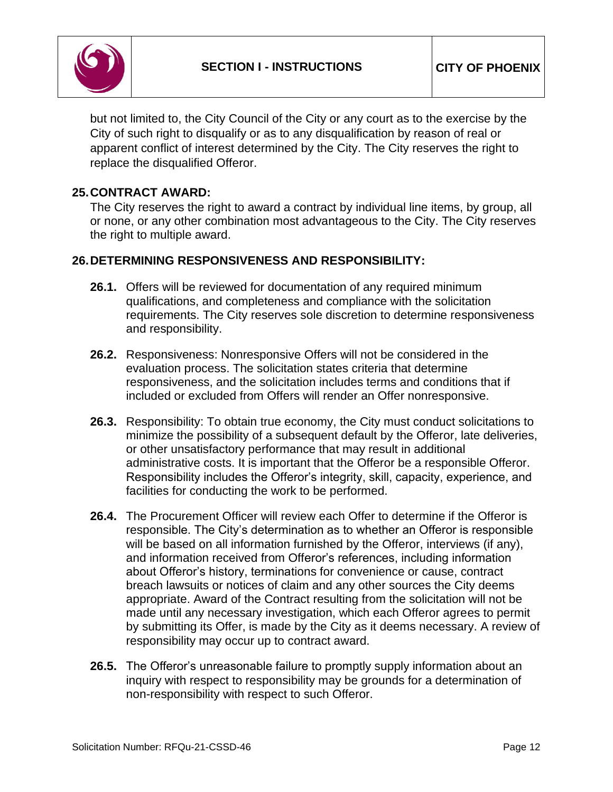

but not limited to, the City Council of the City or any court as to the exercise by the City of such right to disqualify or as to any disqualification by reason of real or apparent conflict of interest determined by the City. The City reserves the right to replace the disqualified Offeror.

### **25.CONTRACT AWARD:**

The City reserves the right to award a contract by individual line items, by group, all or none, or any other combination most advantageous to the City. The City reserves the right to multiple award.

### **26.DETERMINING RESPONSIVENESS AND RESPONSIBILITY:**

- **26.1.** Offers will be reviewed for documentation of any required minimum qualifications, and completeness and compliance with the solicitation requirements. The City reserves sole discretion to determine responsiveness and responsibility.
- **26.2.** Responsiveness: Nonresponsive Offers will not be considered in the evaluation process. The solicitation states criteria that determine responsiveness, and the solicitation includes terms and conditions that if included or excluded from Offers will render an Offer nonresponsive.
- **26.3.** Responsibility: To obtain true economy, the City must conduct solicitations to minimize the possibility of a subsequent default by the Offeror, late deliveries, or other unsatisfactory performance that may result in additional administrative costs. It is important that the Offeror be a responsible Offeror. Responsibility includes the Offeror's integrity, skill, capacity, experience, and facilities for conducting the work to be performed.
- **26.4.** The Procurement Officer will review each Offer to determine if the Offeror is responsible. The City's determination as to whether an Offeror is responsible will be based on all information furnished by the Offeror, interviews (if any), and information received from Offeror's references, including information about Offeror's history, terminations for convenience or cause, contract breach lawsuits or notices of claim and any other sources the City deems appropriate. Award of the Contract resulting from the solicitation will not be made until any necessary investigation, which each Offeror agrees to permit by submitting its Offer, is made by the City as it deems necessary. A review of responsibility may occur up to contract award.
- **26.5.** The Offeror's unreasonable failure to promptly supply information about an inquiry with respect to responsibility may be grounds for a determination of non-responsibility with respect to such Offeror.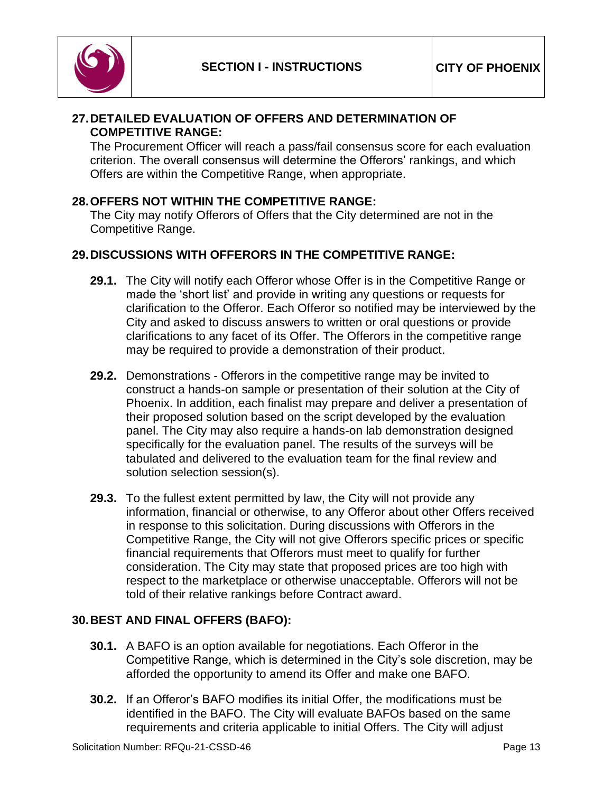

### **27.DETAILED EVALUATION OF OFFERS AND DETERMINATION OF COMPETITIVE RANGE:**

The Procurement Officer will reach a pass/fail consensus score for each evaluation criterion. The overall consensus will determine the Offerors' rankings, and which Offers are within the Competitive Range, when appropriate.

# **28.OFFERS NOT WITHIN THE COMPETITIVE RANGE:**

The City may notify Offerors of Offers that the City determined are not in the Competitive Range.

### **29.DISCUSSIONS WITH OFFERORS IN THE COMPETITIVE RANGE:**

- **29.1.** The City will notify each Offeror whose Offer is in the Competitive Range or made the 'short list' and provide in writing any questions or requests for clarification to the Offeror. Each Offeror so notified may be interviewed by the City and asked to discuss answers to written or oral questions or provide clarifications to any facet of its Offer. The Offerors in the competitive range may be required to provide a demonstration of their product.
- **29.2.** Demonstrations Offerors in the competitive range may be invited to construct a hands-on sample or presentation of their solution at the City of Phoenix. In addition, each finalist may prepare and deliver a presentation of their proposed solution based on the script developed by the evaluation panel. The City may also require a hands-on lab demonstration designed specifically for the evaluation panel. The results of the surveys will be tabulated and delivered to the evaluation team for the final review and solution selection session(s).
- **29.3.** To the fullest extent permitted by law, the City will not provide any information, financial or otherwise, to any Offeror about other Offers received in response to this solicitation. During discussions with Offerors in the Competitive Range, the City will not give Offerors specific prices or specific financial requirements that Offerors must meet to qualify for further consideration. The City may state that proposed prices are too high with respect to the marketplace or otherwise unacceptable. Offerors will not be told of their relative rankings before Contract award.

# **30.BEST AND FINAL OFFERS (BAFO):**

- **30.1.** A BAFO is an option available for negotiations. Each Offeror in the Competitive Range, which is determined in the City's sole discretion, may be afforded the opportunity to amend its Offer and make one BAFO.
- **30.2.** If an Offeror's BAFO modifies its initial Offer, the modifications must be identified in the BAFO. The City will evaluate BAFOs based on the same requirements and criteria applicable to initial Offers. The City will adjust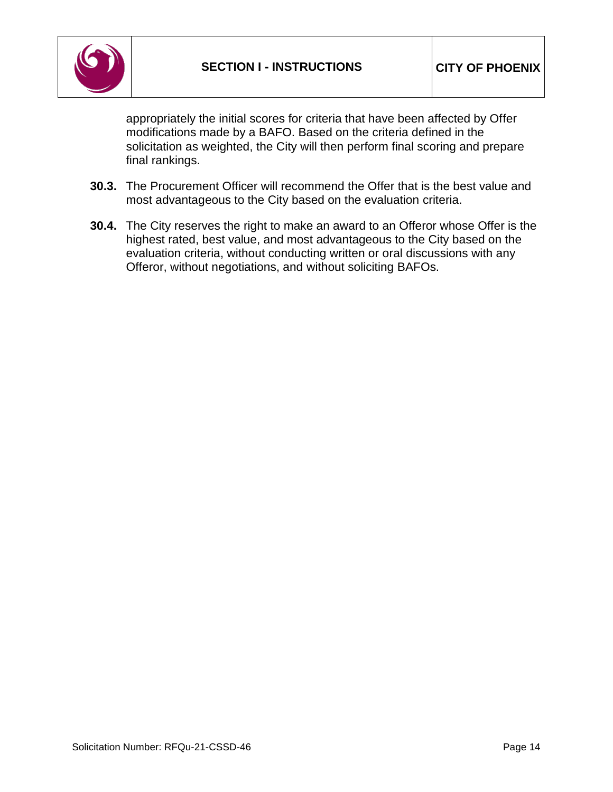

appropriately the initial scores for criteria that have been affected by Offer modifications made by a BAFO. Based on the criteria defined in the solicitation as weighted, the City will then perform final scoring and prepare final rankings.

- **30.3.** The Procurement Officer will recommend the Offer that is the best value and most advantageous to the City based on the evaluation criteria.
- **30.4.** The City reserves the right to make an award to an Offeror whose Offer is the highest rated, best value, and most advantageous to the City based on the evaluation criteria, without conducting written or oral discussions with any Offeror, without negotiations, and without soliciting BAFOs.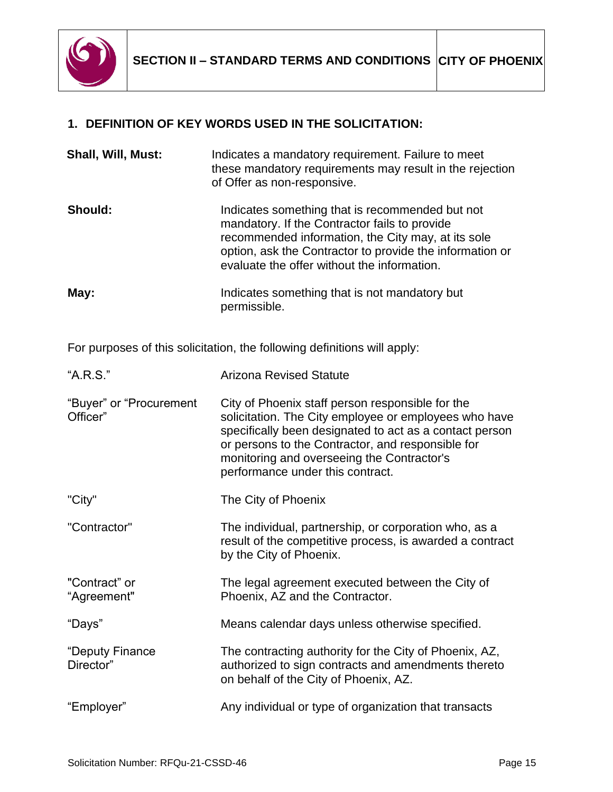

# **1. DEFINITION OF KEY WORDS USED IN THE SOLICITATION:**

| Shall, Will, Must: | Indicates a mandatory requirement. Failure to meet<br>these mandatory requirements may result in the rejection<br>of Offer as non-responsive.                                                                                                                     |
|--------------------|-------------------------------------------------------------------------------------------------------------------------------------------------------------------------------------------------------------------------------------------------------------------|
| Should:            | Indicates something that is recommended but not<br>mandatory. If the Contractor fails to provide<br>recommended information, the City may, at its sole<br>option, ask the Contractor to provide the information or<br>evaluate the offer without the information. |
| May:               | Indicates something that is not mandatory but<br>permissible.                                                                                                                                                                                                     |

For purposes of this solicitation, the following definitions will apply:

| "A.R.S."                            | <b>Arizona Revised Statute</b>                                                                                                                                                                                                                                                                              |
|-------------------------------------|-------------------------------------------------------------------------------------------------------------------------------------------------------------------------------------------------------------------------------------------------------------------------------------------------------------|
| "Buyer" or "Procurement<br>Officer" | City of Phoenix staff person responsible for the<br>solicitation. The City employee or employees who have<br>specifically been designated to act as a contact person<br>or persons to the Contractor, and responsible for<br>monitoring and overseeing the Contractor's<br>performance under this contract. |
| "City"                              | The City of Phoenix                                                                                                                                                                                                                                                                                         |
| "Contractor"                        | The individual, partnership, or corporation who, as a<br>result of the competitive process, is awarded a contract<br>by the City of Phoenix.                                                                                                                                                                |
| "Contract" or<br>"Agreement"        | The legal agreement executed between the City of<br>Phoenix, AZ and the Contractor.                                                                                                                                                                                                                         |
| "Days"                              | Means calendar days unless otherwise specified.                                                                                                                                                                                                                                                             |
| "Deputy Finance<br>Director"        | The contracting authority for the City of Phoenix, AZ,<br>authorized to sign contracts and amendments thereto<br>on behalf of the City of Phoenix, AZ.                                                                                                                                                      |
| "Employer"                          | Any individual or type of organization that transacts                                                                                                                                                                                                                                                       |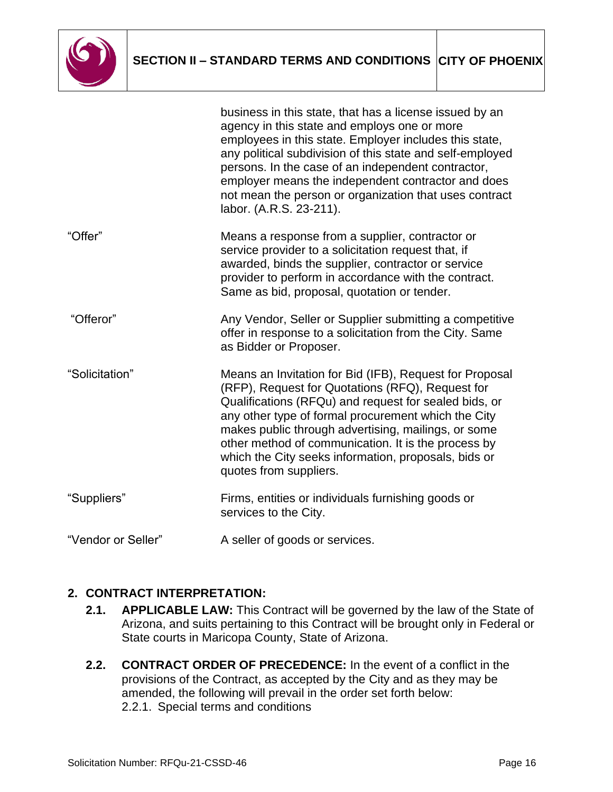

|                    | business in this state, that has a license issued by an<br>agency in this state and employs one or more<br>employees in this state. Employer includes this state,<br>any political subdivision of this state and self-employed<br>persons. In the case of an independent contractor,<br>employer means the independent contractor and does<br>not mean the person or organization that uses contract<br>labor. (A.R.S. 23-211). |
|--------------------|---------------------------------------------------------------------------------------------------------------------------------------------------------------------------------------------------------------------------------------------------------------------------------------------------------------------------------------------------------------------------------------------------------------------------------|
| "Offer"            | Means a response from a supplier, contractor or<br>service provider to a solicitation request that, if<br>awarded, binds the supplier, contractor or service<br>provider to perform in accordance with the contract.<br>Same as bid, proposal, quotation or tender.                                                                                                                                                             |
| "Offeror"          | Any Vendor, Seller or Supplier submitting a competitive<br>offer in response to a solicitation from the City. Same<br>as Bidder or Proposer.                                                                                                                                                                                                                                                                                    |
| "Solicitation"     | Means an Invitation for Bid (IFB), Request for Proposal<br>(RFP), Request for Quotations (RFQ), Request for<br>Qualifications (RFQu) and request for sealed bids, or<br>any other type of formal procurement which the City<br>makes public through advertising, mailings, or some<br>other method of communication. It is the process by<br>which the City seeks information, proposals, bids or<br>quotes from suppliers.     |
| "Suppliers"        | Firms, entities or individuals furnishing goods or<br>services to the City.                                                                                                                                                                                                                                                                                                                                                     |
| "Vendor or Seller" | A seller of goods or services.                                                                                                                                                                                                                                                                                                                                                                                                  |

# **2. CONTRACT INTERPRETATION:**

- **2.1. APPLICABLE LAW:** This Contract will be governed by the law of the State of Arizona, and suits pertaining to this Contract will be brought only in Federal or State courts in Maricopa County, State of Arizona.
- **2.2. CONTRACT ORDER OF PRECEDENCE:** In the event of a conflict in the provisions of the Contract, as accepted by the City and as they may be amended, the following will prevail in the order set forth below: 2.2.1. Special terms and conditions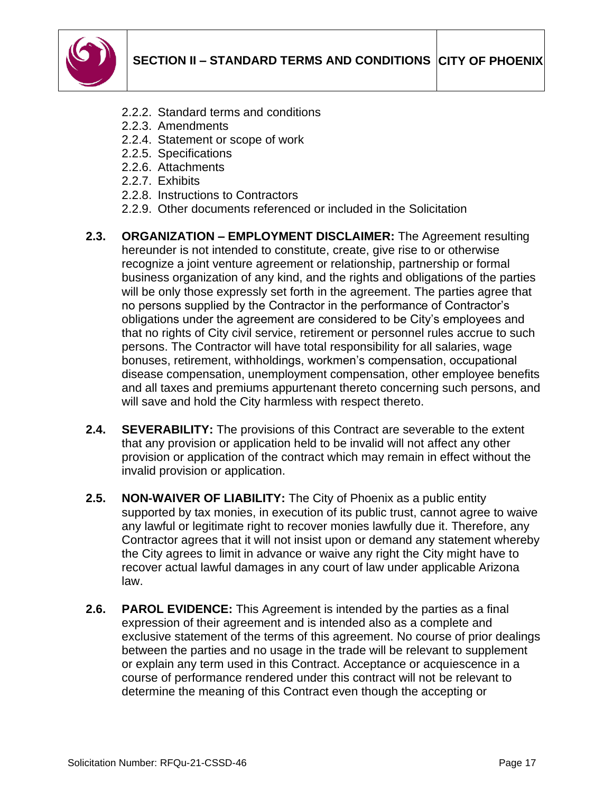

- 2.2.2. Standard terms and conditions
- 2.2.3. Amendments
- 2.2.4. Statement or scope of work
- 2.2.5. Specifications
- 2.2.6. Attachments
- 2.2.7. Exhibits
- 2.2.8. Instructions to Contractors
- 2.2.9. Other documents referenced or included in the Solicitation
- **2.3. ORGANIZATION – EMPLOYMENT DISCLAIMER:** The Agreement resulting hereunder is not intended to constitute, create, give rise to or otherwise recognize a joint venture agreement or relationship, partnership or formal business organization of any kind, and the rights and obligations of the parties will be only those expressly set forth in the agreement. The parties agree that no persons supplied by the Contractor in the performance of Contractor's obligations under the agreement are considered to be City's employees and that no rights of City civil service, retirement or personnel rules accrue to such persons. The Contractor will have total responsibility for all salaries, wage bonuses, retirement, withholdings, workmen's compensation, occupational disease compensation, unemployment compensation, other employee benefits and all taxes and premiums appurtenant thereto concerning such persons, and will save and hold the City harmless with respect thereto.
- **2.4. SEVERABILITY:** The provisions of this Contract are severable to the extent that any provision or application held to be invalid will not affect any other provision or application of the contract which may remain in effect without the invalid provision or application.
- **2.5. NON-WAIVER OF LIABILITY:** The City of Phoenix as a public entity supported by tax monies, in execution of its public trust, cannot agree to waive any lawful or legitimate right to recover monies lawfully due it. Therefore, any Contractor agrees that it will not insist upon or demand any statement whereby the City agrees to limit in advance or waive any right the City might have to recover actual lawful damages in any court of law under applicable Arizona law.
- **2.6. PAROL EVIDENCE:** This Agreement is intended by the parties as a final expression of their agreement and is intended also as a complete and exclusive statement of the terms of this agreement. No course of prior dealings between the parties and no usage in the trade will be relevant to supplement or explain any term used in this Contract. Acceptance or acquiescence in a course of performance rendered under this contract will not be relevant to determine the meaning of this Contract even though the accepting or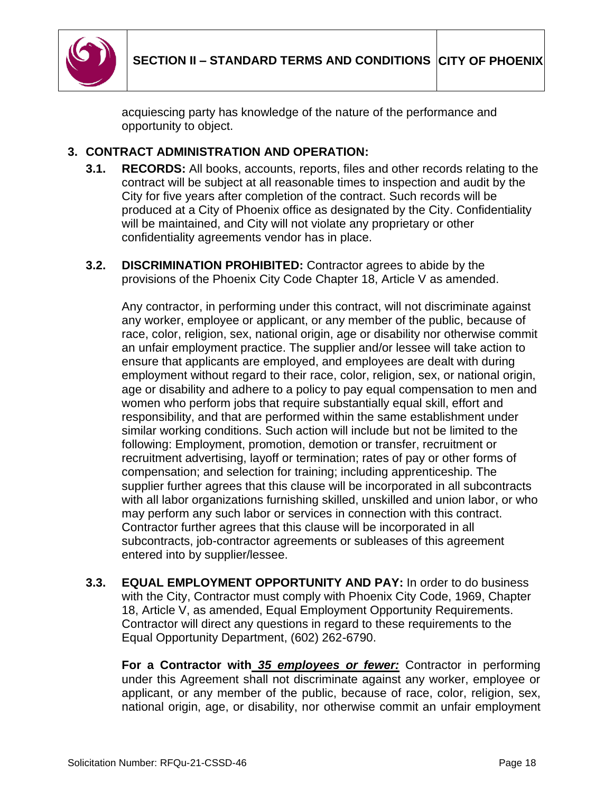

acquiescing party has knowledge of the nature of the performance and opportunity to object.

### **3. CONTRACT ADMINISTRATION AND OPERATION:**

- **3.1. RECORDS:** All books, accounts, reports, files and other records relating to the contract will be subject at all reasonable times to inspection and audit by the City for five years after completion of the contract. Such records will be produced at a City of Phoenix office as designated by the City. Confidentiality will be maintained, and City will not violate any proprietary or other confidentiality agreements vendor has in place.
- **3.2. DISCRIMINATION PROHIBITED:** Contractor agrees to abide by the provisions of the Phoenix City Code Chapter 18, Article V as amended.

Any contractor, in performing under this contract, will not discriminate against any worker, employee or applicant, or any member of the public, because of race, color, religion, sex, national origin, age or disability nor otherwise commit an unfair employment practice. The supplier and/or lessee will take action to ensure that applicants are employed, and employees are dealt with during employment without regard to their race, color, religion, sex, or national origin, age or disability and adhere to a policy to pay equal compensation to men and women who perform jobs that require substantially equal skill, effort and responsibility, and that are performed within the same establishment under similar working conditions. Such action will include but not be limited to the following: Employment, promotion, demotion or transfer, recruitment or recruitment advertising, layoff or termination; rates of pay or other forms of compensation; and selection for training; including apprenticeship. The supplier further agrees that this clause will be incorporated in all subcontracts with all labor organizations furnishing skilled, unskilled and union labor, or who may perform any such labor or services in connection with this contract. Contractor further agrees that this clause will be incorporated in all subcontracts, job-contractor agreements or subleases of this agreement entered into by supplier/lessee.

**3.3. EQUAL EMPLOYMENT OPPORTUNITY AND PAY:** In order to do business with the City, Contractor must comply with Phoenix City Code, 1969, Chapter 18, Article V, as amended, Equal Employment Opportunity Requirements. Contractor will direct any questions in regard to these requirements to the Equal Opportunity Department, (602) 262-6790.

**For a Contractor with** *35 employees or fewer:* Contractor in performing under this Agreement shall not discriminate against any worker, employee or applicant, or any member of the public, because of race, color, religion, sex, national origin, age, or disability, nor otherwise commit an unfair employment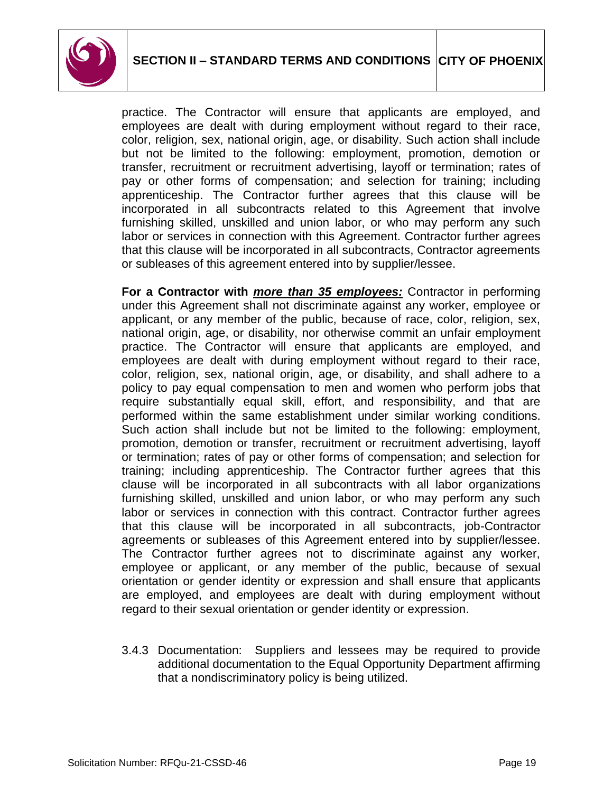

practice. The Contractor will ensure that applicants are employed, and employees are dealt with during employment without regard to their race, color, religion, sex, national origin, age, or disability. Such action shall include but not be limited to the following: employment, promotion, demotion or transfer, recruitment or recruitment advertising, layoff or termination; rates of pay or other forms of compensation; and selection for training; including apprenticeship. The Contractor further agrees that this clause will be incorporated in all subcontracts related to this Agreement that involve furnishing skilled, unskilled and union labor, or who may perform any such labor or services in connection with this Agreement. Contractor further agrees that this clause will be incorporated in all subcontracts, Contractor agreements or subleases of this agreement entered into by supplier/lessee.

**For a Contractor with** *more than 35 employees:* Contractor in performing under this Agreement shall not discriminate against any worker, employee or applicant, or any member of the public, because of race, color, religion, sex, national origin, age, or disability, nor otherwise commit an unfair employment practice. The Contractor will ensure that applicants are employed, and employees are dealt with during employment without regard to their race, color, religion, sex, national origin, age, or disability, and shall adhere to a policy to pay equal compensation to men and women who perform jobs that require substantially equal skill, effort, and responsibility, and that are performed within the same establishment under similar working conditions. Such action shall include but not be limited to the following: employment, promotion, demotion or transfer, recruitment or recruitment advertising, layoff or termination; rates of pay or other forms of compensation; and selection for training; including apprenticeship. The Contractor further agrees that this clause will be incorporated in all subcontracts with all labor organizations furnishing skilled, unskilled and union labor, or who may perform any such labor or services in connection with this contract. Contractor further agrees that this clause will be incorporated in all subcontracts, job-Contractor agreements or subleases of this Agreement entered into by supplier/lessee. The Contractor further agrees not to discriminate against any worker, employee or applicant, or any member of the public, because of sexual orientation or gender identity or expression and shall ensure that applicants are employed, and employees are dealt with during employment without regard to their sexual orientation or gender identity or expression.

3.4.3 Documentation: Suppliers and lessees may be required to provide additional documentation to the Equal Opportunity Department affirming that a nondiscriminatory policy is being utilized.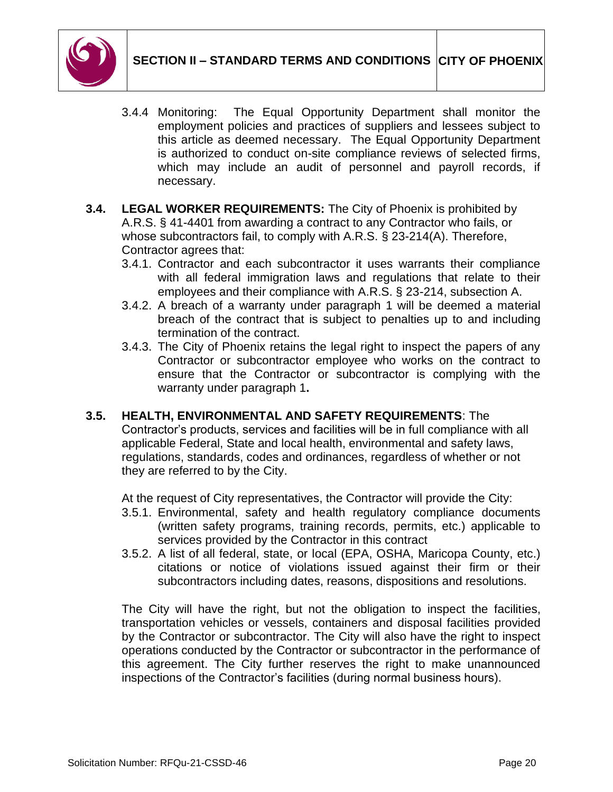

- 3.4.4 Monitoring: The Equal Opportunity Department shall monitor the employment policies and practices of suppliers and lessees subject to this article as deemed necessary. The Equal Opportunity Department is authorized to conduct on-site compliance reviews of selected firms, which may include an audit of personnel and payroll records, if necessary.
- **3.4. LEGAL WORKER REQUIREMENTS:** The City of Phoenix is prohibited by A.R.S. § 41-4401 from awarding a contract to any Contractor who fails, or whose subcontractors fail, to comply with A.R.S. § 23-214(A). Therefore, Contractor agrees that:
	- 3.4.1. Contractor and each subcontractor it uses warrants their compliance with all federal immigration laws and regulations that relate to their employees and their compliance with A.R.S. § 23-214, subsection A.
	- 3.4.2. A breach of a warranty under paragraph 1 will be deemed a material breach of the contract that is subject to penalties up to and including termination of the contract.
	- 3.4.3. The City of Phoenix retains the legal right to inspect the papers of any Contractor or subcontractor employee who works on the contract to ensure that the Contractor or subcontractor is complying with the warranty under paragraph 1**.**

#### **3.5. HEALTH, ENVIRONMENTAL AND SAFETY REQUIREMENTS**: The Contractor's products, services and facilities will be in full compliance with all applicable Federal, State and local health, environmental and safety laws, regulations, standards, codes and ordinances, regardless of whether or not they are referred to by the City.

At the request of City representatives, the Contractor will provide the City:

- 3.5.1. Environmental, safety and health regulatory compliance documents (written safety programs, training records, permits, etc.) applicable to services provided by the Contractor in this contract
- 3.5.2. A list of all federal, state, or local (EPA, OSHA, Maricopa County, etc.) citations or notice of violations issued against their firm or their subcontractors including dates, reasons, dispositions and resolutions.

The City will have the right, but not the obligation to inspect the facilities, transportation vehicles or vessels, containers and disposal facilities provided by the Contractor or subcontractor. The City will also have the right to inspect operations conducted by the Contractor or subcontractor in the performance of this agreement. The City further reserves the right to make unannounced inspections of the Contractor's facilities (during normal business hours).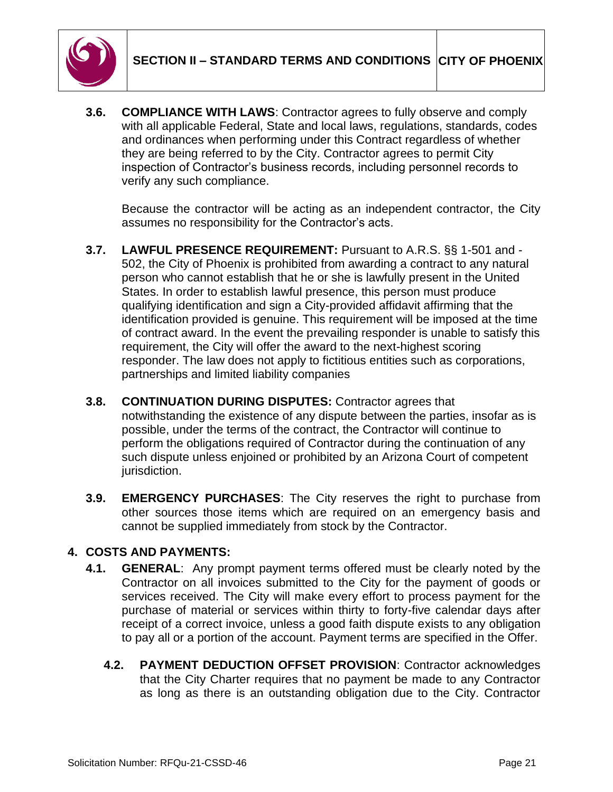

**3.6. COMPLIANCE WITH LAWS**: Contractor agrees to fully observe and comply with all applicable Federal, State and local laws, regulations, standards, codes and ordinances when performing under this Contract regardless of whether they are being referred to by the City. Contractor agrees to permit City inspection of Contractor's business records, including personnel records to verify any such compliance.

Because the contractor will be acting as an independent contractor, the City assumes no responsibility for the Contractor's acts.

- **3.7. LAWFUL PRESENCE REQUIREMENT:** Pursuant to A.R.S. §§ 1-501 and 502, the City of Phoenix is prohibited from awarding a contract to any natural person who cannot establish that he or she is lawfully present in the United States. In order to establish lawful presence, this person must produce qualifying identification and sign a City-provided affidavit affirming that the identification provided is genuine. This requirement will be imposed at the time of contract award. In the event the prevailing responder is unable to satisfy this requirement, the City will offer the award to the next-highest scoring responder. The law does not apply to fictitious entities such as corporations, partnerships and limited liability companies
- **3.8. CONTINUATION DURING DISPUTES:** Contractor agrees that notwithstanding the existence of any dispute between the parties, insofar as is possible, under the terms of the contract, the Contractor will continue to perform the obligations required of Contractor during the continuation of any such dispute unless enjoined or prohibited by an Arizona Court of competent jurisdiction.
- **3.9. EMERGENCY PURCHASES**: The City reserves the right to purchase from other sources those items which are required on an emergency basis and cannot be supplied immediately from stock by the Contractor.

# **4. COSTS AND PAYMENTS:**

- **4.1. GENERAL**: Any prompt payment terms offered must be clearly noted by the Contractor on all invoices submitted to the City for the payment of goods or services received. The City will make every effort to process payment for the purchase of material or services within thirty to forty-five calendar days after receipt of a correct invoice, unless a good faith dispute exists to any obligation to pay all or a portion of the account. Payment terms are specified in the Offer.
	- **4.2. PAYMENT DEDUCTION OFFSET PROVISION**: Contractor acknowledges that the City Charter requires that no payment be made to any Contractor as long as there is an outstanding obligation due to the City. Contractor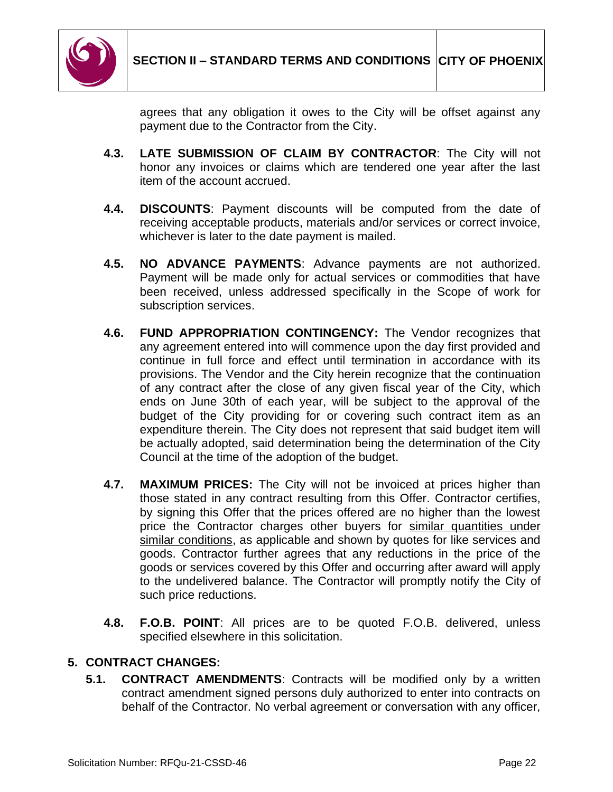

agrees that any obligation it owes to the City will be offset against any payment due to the Contractor from the City.

- **4.3. LATE SUBMISSION OF CLAIM BY CONTRACTOR**: The City will not honor any invoices or claims which are tendered one year after the last item of the account accrued.
- **4.4. DISCOUNTS**: Payment discounts will be computed from the date of receiving acceptable products, materials and/or services or correct invoice, whichever is later to the date payment is mailed.
- **4.5. NO ADVANCE PAYMENTS**: Advance payments are not authorized. Payment will be made only for actual services or commodities that have been received, unless addressed specifically in the Scope of work for subscription services.
- **4.6. FUND APPROPRIATION CONTINGENCY:** The Vendor recognizes that any agreement entered into will commence upon the day first provided and continue in full force and effect until termination in accordance with its provisions. The Vendor and the City herein recognize that the continuation of any contract after the close of any given fiscal year of the City, which ends on June 30th of each year, will be subject to the approval of the budget of the City providing for or covering such contract item as an expenditure therein. The City does not represent that said budget item will be actually adopted, said determination being the determination of the City Council at the time of the adoption of the budget.
- **4.7. MAXIMUM PRICES:** The City will not be invoiced at prices higher than those stated in any contract resulting from this Offer. Contractor certifies, by signing this Offer that the prices offered are no higher than the lowest price the Contractor charges other buyers for similar quantities under similar conditions, as applicable and shown by quotes for like services and goods. Contractor further agrees that any reductions in the price of the goods or services covered by this Offer and occurring after award will apply to the undelivered balance. The Contractor will promptly notify the City of such price reductions.
- **4.8. F.O.B. POINT**: All prices are to be quoted F.O.B. delivered, unless specified elsewhere in this solicitation.

# **5. CONTRACT CHANGES:**

**5.1. CONTRACT AMENDMENTS**: Contracts will be modified only by a written contract amendment signed persons duly authorized to enter into contracts on behalf of the Contractor. No verbal agreement or conversation with any officer,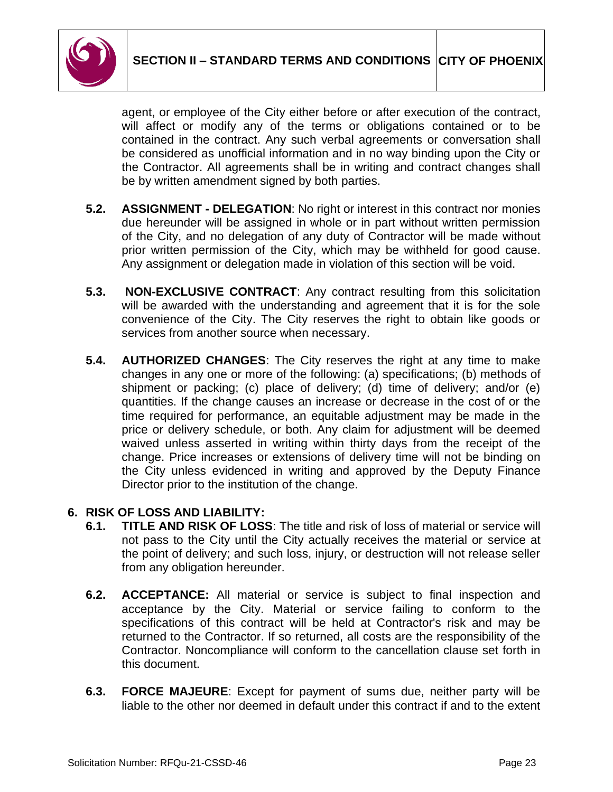

agent, or employee of the City either before or after execution of the contract, will affect or modify any of the terms or obligations contained or to be contained in the contract. Any such verbal agreements or conversation shall be considered as unofficial information and in no way binding upon the City or the Contractor. All agreements shall be in writing and contract changes shall be by written amendment signed by both parties.

- **5.2. ASSIGNMENT - DELEGATION**: No right or interest in this contract nor monies due hereunder will be assigned in whole or in part without written permission of the City, and no delegation of any duty of Contractor will be made without prior written permission of the City, which may be withheld for good cause. Any assignment or delegation made in violation of this section will be void.
- **5.3. NON-EXCLUSIVE CONTRACT**: Any contract resulting from this solicitation will be awarded with the understanding and agreement that it is for the sole convenience of the City. The City reserves the right to obtain like goods or services from another source when necessary.
- **5.4. AUTHORIZED CHANGES**: The City reserves the right at any time to make changes in any one or more of the following: (a) specifications; (b) methods of shipment or packing; (c) place of delivery; (d) time of delivery; and/or (e) quantities. If the change causes an increase or decrease in the cost of or the time required for performance, an equitable adjustment may be made in the price or delivery schedule, or both. Any claim for adjustment will be deemed waived unless asserted in writing within thirty days from the receipt of the change. Price increases or extensions of delivery time will not be binding on the City unless evidenced in writing and approved by the Deputy Finance Director prior to the institution of the change.

# **6. RISK OF LOSS AND LIABILITY:**

- **6.1. TITLE AND RISK OF LOSS**: The title and risk of loss of material or service will not pass to the City until the City actually receives the material or service at the point of delivery; and such loss, injury, or destruction will not release seller from any obligation hereunder.
- **6.2. ACCEPTANCE:** All material or service is subject to final inspection and acceptance by the City. Material or service failing to conform to the specifications of this contract will be held at Contractor's risk and may be returned to the Contractor. If so returned, all costs are the responsibility of the Contractor. Noncompliance will conform to the cancellation clause set forth in this document.
- **6.3. FORCE MAJEURE**: Except for payment of sums due, neither party will be liable to the other nor deemed in default under this contract if and to the extent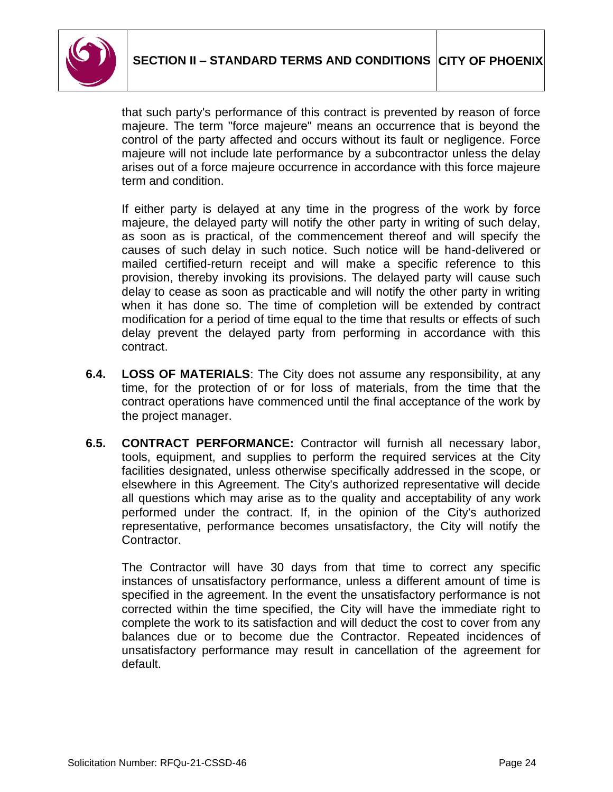

that such party's performance of this contract is prevented by reason of force majeure. The term "force majeure" means an occurrence that is beyond the control of the party affected and occurs without its fault or negligence. Force majeure will not include late performance by a subcontractor unless the delay arises out of a force majeure occurrence in accordance with this force majeure term and condition.

If either party is delayed at any time in the progress of the work by force majeure, the delayed party will notify the other party in writing of such delay, as soon as is practical, of the commencement thereof and will specify the causes of such delay in such notice. Such notice will be hand-delivered or mailed certified-return receipt and will make a specific reference to this provision, thereby invoking its provisions. The delayed party will cause such delay to cease as soon as practicable and will notify the other party in writing when it has done so. The time of completion will be extended by contract modification for a period of time equal to the time that results or effects of such delay prevent the delayed party from performing in accordance with this contract.

- **6.4. LOSS OF MATERIALS**: The City does not assume any responsibility, at any time, for the protection of or for loss of materials, from the time that the contract operations have commenced until the final acceptance of the work by the project manager.
- **6.5. CONTRACT PERFORMANCE:** Contractor will furnish all necessary labor, tools, equipment, and supplies to perform the required services at the City facilities designated, unless otherwise specifically addressed in the scope, or elsewhere in this Agreement. The City's authorized representative will decide all questions which may arise as to the quality and acceptability of any work performed under the contract. If, in the opinion of the City's authorized representative, performance becomes unsatisfactory, the City will notify the Contractor.

The Contractor will have 30 days from that time to correct any specific instances of unsatisfactory performance, unless a different amount of time is specified in the agreement. In the event the unsatisfactory performance is not corrected within the time specified, the City will have the immediate right to complete the work to its satisfaction and will deduct the cost to cover from any balances due or to become due the Contractor. Repeated incidences of unsatisfactory performance may result in cancellation of the agreement for default.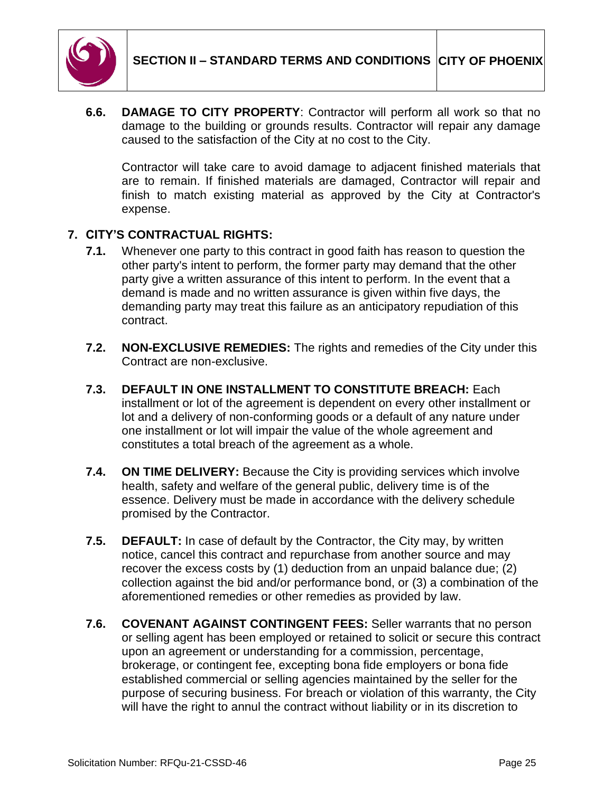

**6.6. DAMAGE TO CITY PROPERTY**: Contractor will perform all work so that no damage to the building or grounds results. Contractor will repair any damage caused to the satisfaction of the City at no cost to the City.

Contractor will take care to avoid damage to adjacent finished materials that are to remain. If finished materials are damaged, Contractor will repair and finish to match existing material as approved by the City at Contractor's expense.

# **7. CITY'S CONTRACTUAL RIGHTS:**

- **7.1.** Whenever one party to this contract in good faith has reason to question the other party's intent to perform, the former party may demand that the other party give a written assurance of this intent to perform. In the event that a demand is made and no written assurance is given within five days, the demanding party may treat this failure as an anticipatory repudiation of this contract.
- **7.2. NON-EXCLUSIVE REMEDIES:** The rights and remedies of the City under this Contract are non-exclusive.
- **7.3. DEFAULT IN ONE INSTALLMENT TO CONSTITUTE BREACH:** Each installment or lot of the agreement is dependent on every other installment or lot and a delivery of non-conforming goods or a default of any nature under one installment or lot will impair the value of the whole agreement and constitutes a total breach of the agreement as a whole.
- **7.4. ON TIME DELIVERY:** Because the City is providing services which involve health, safety and welfare of the general public, delivery time is of the essence. Delivery must be made in accordance with the delivery schedule promised by the Contractor.
- **7.5. DEFAULT:** In case of default by the Contractor, the City may, by written notice, cancel this contract and repurchase from another source and may recover the excess costs by (1) deduction from an unpaid balance due; (2) collection against the bid and/or performance bond, or (3) a combination of the aforementioned remedies or other remedies as provided by law.
- **7.6. COVENANT AGAINST CONTINGENT FEES:** Seller warrants that no person or selling agent has been employed or retained to solicit or secure this contract upon an agreement or understanding for a commission, percentage, brokerage, or contingent fee, excepting bona fide employers or bona fide established commercial or selling agencies maintained by the seller for the purpose of securing business. For breach or violation of this warranty, the City will have the right to annul the contract without liability or in its discretion to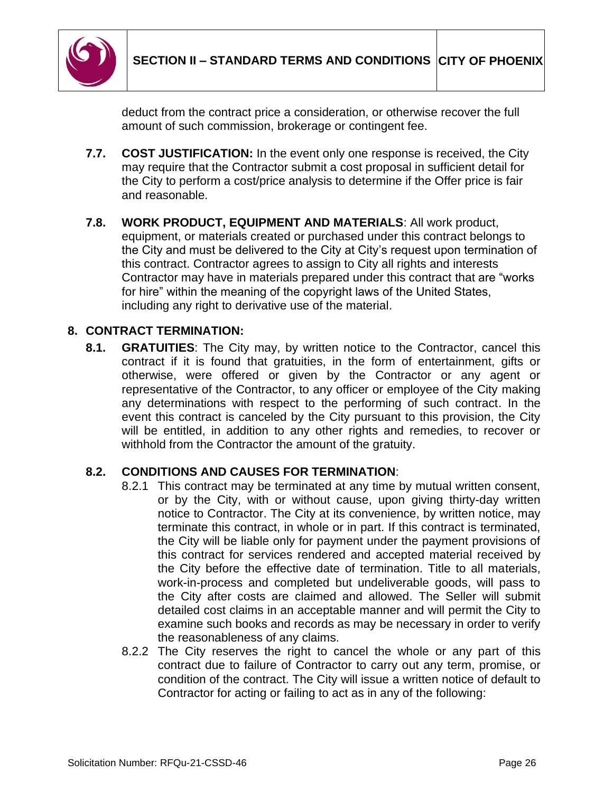

deduct from the contract price a consideration, or otherwise recover the full amount of such commission, brokerage or contingent fee.

- **7.7. COST JUSTIFICATION:** In the event only one response is received, the City may require that the Contractor submit a cost proposal in sufficient detail for the City to perform a cost/price analysis to determine if the Offer price is fair and reasonable.
- **7.8. WORK PRODUCT, EQUIPMENT AND MATERIALS**: All work product, equipment, or materials created or purchased under this contract belongs to the City and must be delivered to the City at City's request upon termination of this contract. Contractor agrees to assign to City all rights and interests Contractor may have in materials prepared under this contract that are "works for hire" within the meaning of the copyright laws of the United States, including any right to derivative use of the material.

#### **8. CONTRACT TERMINATION:**

**8.1. GRATUITIES**: The City may, by written notice to the Contractor, cancel this contract if it is found that gratuities, in the form of entertainment, gifts or otherwise, were offered or given by the Contractor or any agent or representative of the Contractor, to any officer or employee of the City making any determinations with respect to the performing of such contract. In the event this contract is canceled by the City pursuant to this provision, the City will be entitled, in addition to any other rights and remedies, to recover or withhold from the Contractor the amount of the gratuity.

#### **8.2. CONDITIONS AND CAUSES FOR TERMINATION**:

- 8.2.1 This contract may be terminated at any time by mutual written consent, or by the City, with or without cause, upon giving thirty-day written notice to Contractor. The City at its convenience, by written notice, may terminate this contract, in whole or in part. If this contract is terminated, the City will be liable only for payment under the payment provisions of this contract for services rendered and accepted material received by the City before the effective date of termination. Title to all materials, work-in-process and completed but undeliverable goods, will pass to the City after costs are claimed and allowed. The Seller will submit detailed cost claims in an acceptable manner and will permit the City to examine such books and records as may be necessary in order to verify the reasonableness of any claims.
- 8.2.2 The City reserves the right to cancel the whole or any part of this contract due to failure of Contractor to carry out any term, promise, or condition of the contract. The City will issue a written notice of default to Contractor for acting or failing to act as in any of the following: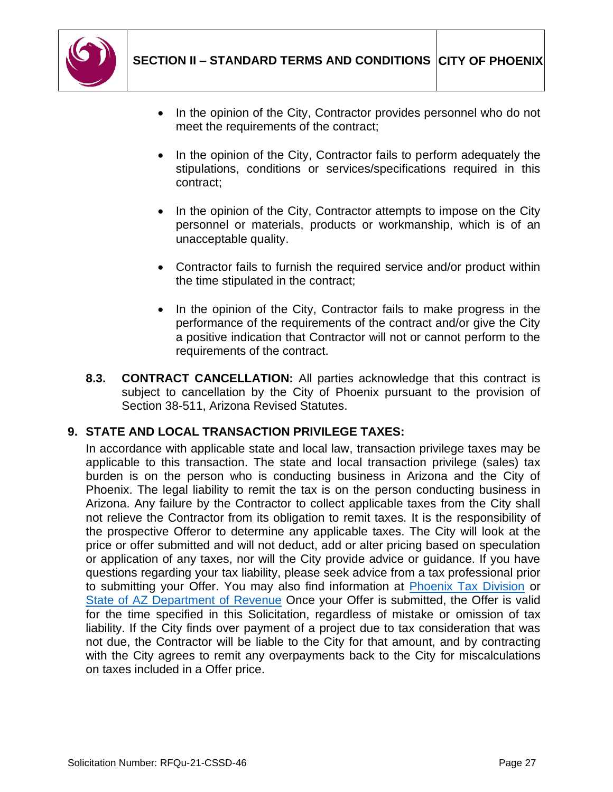

- In the opinion of the City, Contractor provides personnel who do not meet the requirements of the contract;
- In the opinion of the City, Contractor fails to perform adequately the stipulations, conditions or services/specifications required in this contract;
- In the opinion of the City, Contractor attempts to impose on the City personnel or materials, products or workmanship, which is of an unacceptable quality.
- Contractor fails to furnish the required service and/or product within the time stipulated in the contract;
- In the opinion of the City, Contractor fails to make progress in the performance of the requirements of the contract and/or give the City a positive indication that Contractor will not or cannot perform to the requirements of the contract.
- **8.3. CONTRACT CANCELLATION:** All parties acknowledge that this contract is subject to cancellation by the City of Phoenix pursuant to the provision of Section 38-511, Arizona Revised Statutes.

# **9. STATE AND LOCAL TRANSACTION PRIVILEGE TAXES:**

In accordance with applicable state and local law, transaction privilege taxes may be applicable to this transaction. The state and local transaction privilege (sales) tax burden is on the person who is conducting business in Arizona and the City of Phoenix. The legal liability to remit the tax is on the person conducting business in Arizona. Any failure by the Contractor to collect applicable taxes from the City shall not relieve the Contractor from its obligation to remit taxes. It is the responsibility of the prospective Offeror to determine any applicable taxes. The City will look at the price or offer submitted and will not deduct, add or alter pricing based on speculation or application of any taxes, nor will the City provide advice or guidance. If you have questions regarding your tax liability, please seek advice from a tax professional prior to submitting your Offer. You may also find information at [Phoenix Tax Division](https://www.phoenix.gov/finance/plt) or [State of AZ Department](https://www.azdor.gov/Business.aspx) of Revenue Once your Offer is submitted, the Offer is valid for the time specified in this Solicitation, regardless of mistake or omission of tax liability. If the City finds over payment of a project due to tax consideration that was not due, the Contractor will be liable to the City for that amount, and by contracting with the City agrees to remit any overpayments back to the City for miscalculations on taxes included in a Offer price.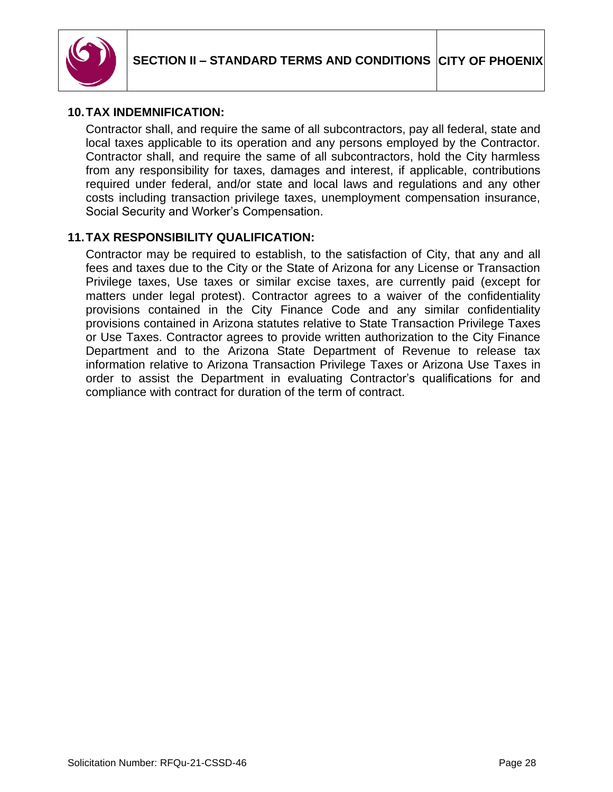

# **10.TAX INDEMNIFICATION:**

Contractor shall, and require the same of all subcontractors, pay all federal, state and local taxes applicable to its operation and any persons employed by the Contractor. Contractor shall, and require the same of all subcontractors, hold the City harmless from any responsibility for taxes, damages and interest, if applicable, contributions required under federal, and/or state and local laws and regulations and any other costs including transaction privilege taxes, unemployment compensation insurance, Social Security and Worker's Compensation.

# **11.TAX RESPONSIBILITY QUALIFICATION:**

Contractor may be required to establish, to the satisfaction of City, that any and all fees and taxes due to the City or the State of Arizona for any License or Transaction Privilege taxes, Use taxes or similar excise taxes, are currently paid (except for matters under legal protest). Contractor agrees to a waiver of the confidentiality provisions contained in the City Finance Code and any similar confidentiality provisions contained in Arizona statutes relative to State Transaction Privilege Taxes or Use Taxes. Contractor agrees to provide written authorization to the City Finance Department and to the Arizona State Department of Revenue to release tax information relative to Arizona Transaction Privilege Taxes or Arizona Use Taxes in order to assist the Department in evaluating Contractor's qualifications for and compliance with contract for duration of the term of contract.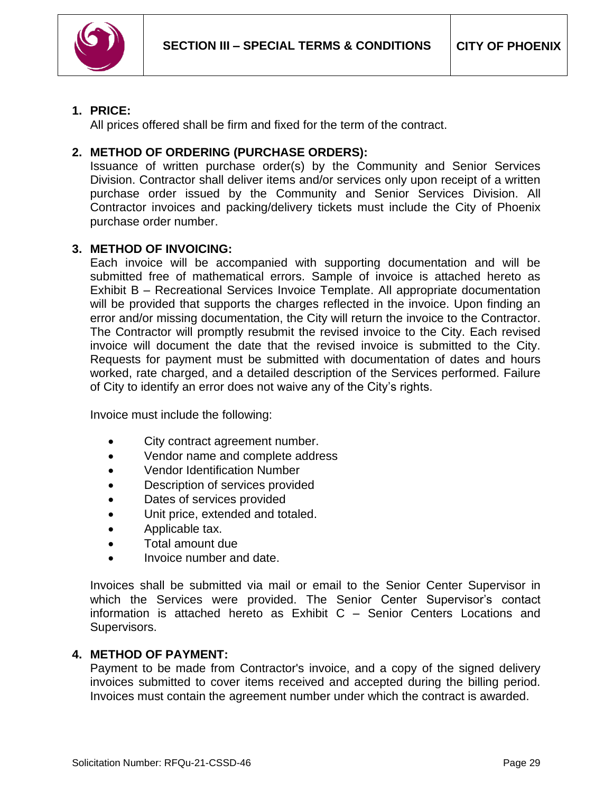

# <span id="page-28-0"></span>**1. PRICE:**

All prices offered shall be firm and fixed for the term of the contract.

# **2. METHOD OF ORDERING (PURCHASE ORDERS):**

Issuance of written purchase order(s) by the Community and Senior Services Division. Contractor shall deliver items and/or services only upon receipt of a written purchase order issued by the Community and Senior Services Division. All Contractor invoices and packing/delivery tickets must include the City of Phoenix purchase order number.

### **3. METHOD OF INVOICING:**

Each invoice will be accompanied with supporting documentation and will be submitted free of mathematical errors. Sample of invoice is attached hereto as Exhibit B – Recreational Services Invoice Template. All appropriate documentation will be provided that supports the charges reflected in the invoice. Upon finding an error and/or missing documentation, the City will return the invoice to the Contractor. The Contractor will promptly resubmit the revised invoice to the City. Each revised invoice will document the date that the revised invoice is submitted to the City. Requests for payment must be submitted with documentation of dates and hours worked, rate charged, and a detailed description of the Services performed. Failure of City to identify an error does not waive any of the City's rights.

Invoice must include the following:

- City contract agreement number.
- Vendor name and complete address
- Vendor Identification Number
- Description of services provided
- Dates of services provided
- Unit price, extended and totaled.
- Applicable tax.
- Total amount due
- Invoice number and date.

Invoices shall be submitted via mail or email to the Senior Center Supervisor in which the Services were provided. The Senior Center Supervisor's contact information is attached hereto as Exhibit C – Senior Centers Locations and Supervisors.

# **4. METHOD OF PAYMENT:**

Payment to be made from Contractor's invoice, and a copy of the signed delivery invoices submitted to cover items received and accepted during the billing period. Invoices must contain the agreement number under which the contract is awarded.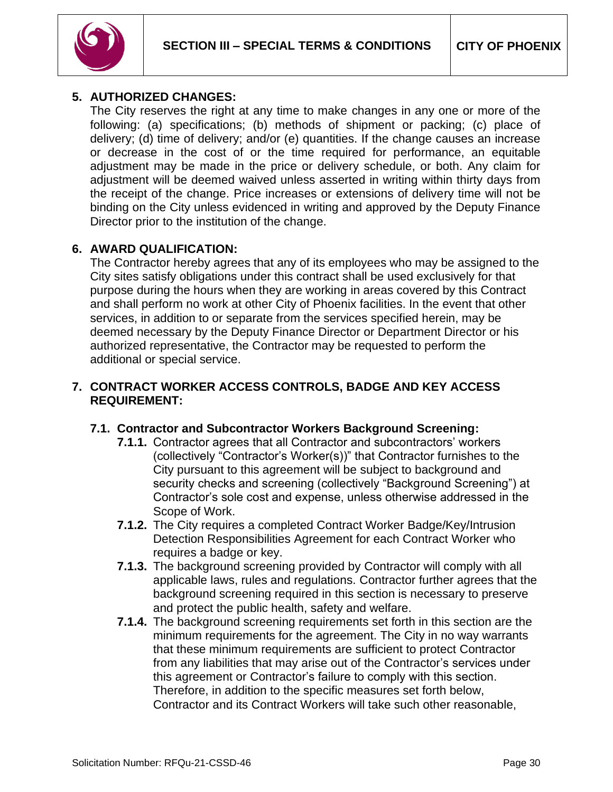

### **5. AUTHORIZED CHANGES:**

The City reserves the right at any time to make changes in any one or more of the following: (a) specifications; (b) methods of shipment or packing; (c) place of delivery; (d) time of delivery; and/or (e) quantities. If the change causes an increase or decrease in the cost of or the time required for performance, an equitable adjustment may be made in the price or delivery schedule, or both. Any claim for adjustment will be deemed waived unless asserted in writing within thirty days from the receipt of the change. Price increases or extensions of delivery time will not be binding on the City unless evidenced in writing and approved by the Deputy Finance Director prior to the institution of the change.

#### **6. AWARD QUALIFICATION:**

The Contractor hereby agrees that any of its employees who may be assigned to the City sites satisfy obligations under this contract shall be used exclusively for that purpose during the hours when they are working in areas covered by this Contract and shall perform no work at other City of Phoenix facilities. In the event that other services, in addition to or separate from the services specified herein, may be deemed necessary by the Deputy Finance Director or Department Director or his authorized representative, the Contractor may be requested to perform the additional or special service.

#### **7. CONTRACT WORKER ACCESS CONTROLS, BADGE AND KEY ACCESS REQUIREMENT:**

#### **7.1. Contractor and Subcontractor Workers Background Screening:**

- **7.1.1.** Contractor agrees that all Contractor and subcontractors' workers (collectively "Contractor's Worker(s))" that Contractor furnishes to the City pursuant to this agreement will be subject to background and security checks and screening (collectively "Background Screening") at Contractor's sole cost and expense, unless otherwise addressed in the Scope of Work.
- **7.1.2.** The City requires a completed Contract Worker Badge/Key/Intrusion Detection Responsibilities Agreement for each Contract Worker who requires a badge or key.
- **7.1.3.** The background screening provided by Contractor will comply with all applicable laws, rules and regulations. Contractor further agrees that the background screening required in this section is necessary to preserve and protect the public health, safety and welfare.
- **7.1.4.** The background screening requirements set forth in this section are the minimum requirements for the agreement. The City in no way warrants that these minimum requirements are sufficient to protect Contractor from any liabilities that may arise out of the Contractor's services under this agreement or Contractor's failure to comply with this section. Therefore, in addition to the specific measures set forth below, Contractor and its Contract Workers will take such other reasonable,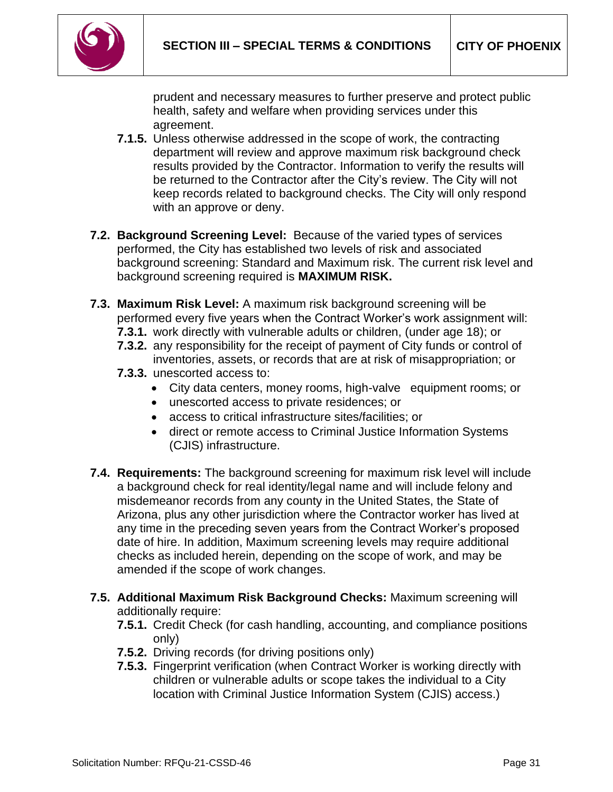

prudent and necessary measures to further preserve and protect public health, safety and welfare when providing services under this agreement.

- **7.1.5.** Unless otherwise addressed in the scope of work, the contracting department will review and approve maximum risk background check results provided by the Contractor. Information to verify the results will be returned to the Contractor after the City's review. The City will not keep records related to background checks. The City will only respond with an approve or deny.
- **7.2. Background Screening Level:** Because of the varied types of services performed, the City has established two levels of risk and associated background screening: Standard and Maximum risk. The current risk level and background screening required is **MAXIMUM RISK.**
- **7.3. Maximum Risk Level:** A maximum risk background screening will be performed every five years when the Contract Worker's work assignment will:
	- **7.3.1.** work directly with vulnerable adults or children, (under age 18); or
	- **7.3.2.** any responsibility for the receipt of payment of City funds or control of inventories, assets, or records that are at risk of misappropriation; or
	- **7.3.3.** unescorted access to:
		- City data centers, money rooms, high-valve equipment rooms; or
		- unescorted access to private residences; or
		- access to critical infrastructure sites/facilities; or
		- direct or remote access to Criminal Justice Information Systems (CJIS) infrastructure.
- **7.4. Requirements:** The background screening for maximum risk level will include a background check for real identity/legal name and will include felony and misdemeanor records from any county in the United States, the State of Arizona, plus any other jurisdiction where the Contractor worker has lived at any time in the preceding seven years from the Contract Worker's proposed date of hire. In addition, Maximum screening levels may require additional checks as included herein, depending on the scope of work, and may be amended if the scope of work changes.
- **7.5. Additional Maximum Risk Background Checks:** Maximum screening will additionally require:
	- **7.5.1.** Credit Check (for cash handling, accounting, and compliance positions only)
	- **7.5.2.** Driving records (for driving positions only)
	- **7.5.3.** Fingerprint verification (when Contract Worker is working directly with children or vulnerable adults or scope takes the individual to a City location with Criminal Justice Information System (CJIS) access.)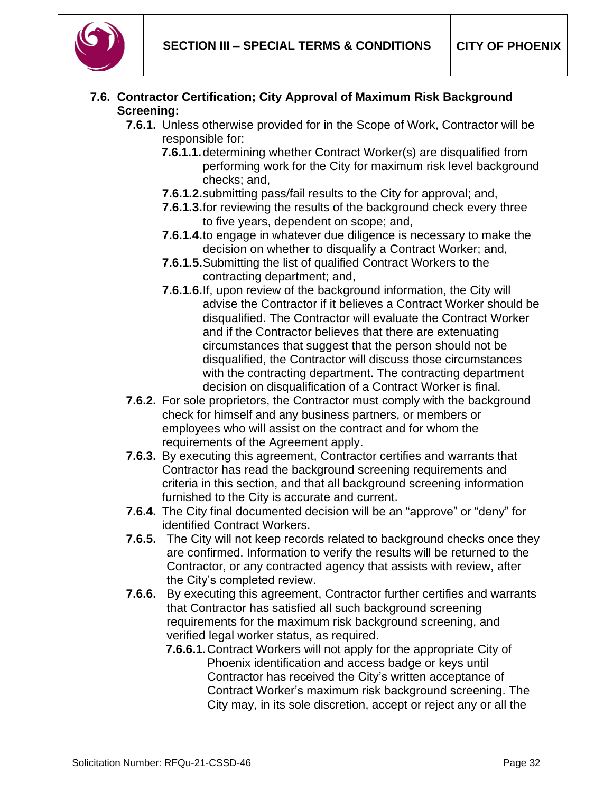

- **7.6. Contractor Certification; City Approval of Maximum Risk Background Screening:**
	- **7.6.1.** Unless otherwise provided for in the Scope of Work, Contractor will be responsible for:
		- **7.6.1.1.**determining whether Contract Worker(s) are disqualified from performing work for the City for maximum risk level background checks; and,
		- **7.6.1.2.**submitting pass/fail results to the City for approval; and,
		- **7.6.1.3.**for reviewing the results of the background check every three to five years, dependent on scope; and,
		- **7.6.1.4.**to engage in whatever due diligence is necessary to make the decision on whether to disqualify a Contract Worker; and,
		- **7.6.1.5.**Submitting the list of qualified Contract Workers to the contracting department; and,
		- **7.6.1.6.**If, upon review of the background information, the City will advise the Contractor if it believes a Contract Worker should be disqualified. The Contractor will evaluate the Contract Worker and if the Contractor believes that there are extenuating circumstances that suggest that the person should not be disqualified, the Contractor will discuss those circumstances with the contracting department. The contracting department decision on disqualification of a Contract Worker is final.
	- **7.6.2.** For sole proprietors, the Contractor must comply with the background check for himself and any business partners, or members or employees who will assist on the contract and for whom the requirements of the Agreement apply.
	- **7.6.3.** By executing this agreement, Contractor certifies and warrants that Contractor has read the background screening requirements and criteria in this section, and that all background screening information furnished to the City is accurate and current.
	- **7.6.4.** The City final documented decision will be an "approve" or "deny" for identified Contract Workers.
	- **7.6.5.** The City will not keep records related to background checks once they are confirmed. Information to verify the results will be returned to the Contractor, or any contracted agency that assists with review, after the City's completed review.
	- **7.6.6.** By executing this agreement, Contractor further certifies and warrants that Contractor has satisfied all such background screening requirements for the maximum risk background screening, and verified legal worker status, as required.
		- **7.6.6.1.**Contract Workers will not apply for the appropriate City of Phoenix identification and access badge or keys until Contractor has received the City's written acceptance of Contract Worker's maximum risk background screening. The City may, in its sole discretion, accept or reject any or all the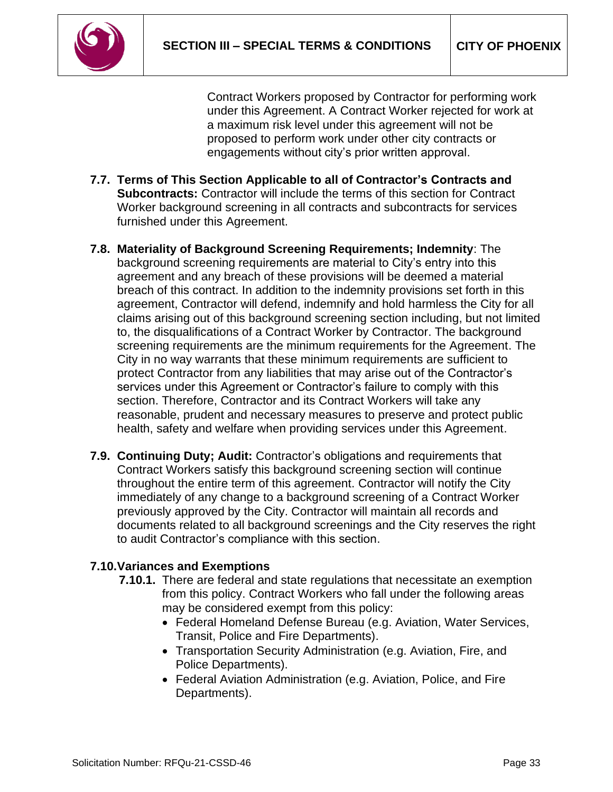

Contract Workers proposed by Contractor for performing work under this Agreement. A Contract Worker rejected for work at a maximum risk level under this agreement will not be proposed to perform work under other city contracts or engagements without city's prior written approval.

- **7.7. Terms of This Section Applicable to all of Contractor's Contracts and Subcontracts:** Contractor will include the terms of this section for Contract Worker background screening in all contracts and subcontracts for services furnished under this Agreement.
- **7.8. Materiality of Background Screening Requirements; Indemnity**: The background screening requirements are material to City's entry into this agreement and any breach of these provisions will be deemed a material breach of this contract. In addition to the indemnity provisions set forth in this agreement, Contractor will defend, indemnify and hold harmless the City for all claims arising out of this background screening section including, but not limited to, the disqualifications of a Contract Worker by Contractor. The background screening requirements are the minimum requirements for the Agreement. The City in no way warrants that these minimum requirements are sufficient to protect Contractor from any liabilities that may arise out of the Contractor's services under this Agreement or Contractor's failure to comply with this section. Therefore, Contractor and its Contract Workers will take any reasonable, prudent and necessary measures to preserve and protect public health, safety and welfare when providing services under this Agreement.
- **7.9. Continuing Duty; Audit:** Contractor's obligations and requirements that Contract Workers satisfy this background screening section will continue throughout the entire term of this agreement. Contractor will notify the City immediately of any change to a background screening of a Contract Worker previously approved by the City. Contractor will maintain all records and documents related to all background screenings and the City reserves the right to audit Contractor's compliance with this section.

# **7.10.Variances and Exemptions**

- **7.10.1.** There are federal and state regulations that necessitate an exemption from this policy. Contract Workers who fall under the following areas may be considered exempt from this policy:
	- Federal Homeland Defense Bureau (e.g. Aviation, Water Services, Transit, Police and Fire Departments).
	- Transportation Security Administration (e.g. Aviation, Fire, and Police Departments).
	- Federal Aviation Administration (e.g. Aviation, Police, and Fire Departments).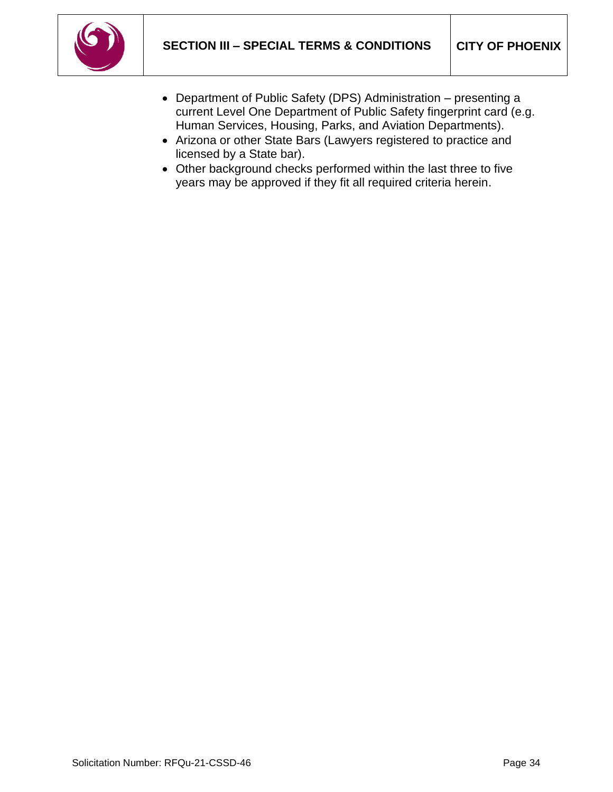

- Department of Public Safety (DPS) Administration presenting a current Level One Department of Public Safety fingerprint card (e.g. Human Services, Housing, Parks, and Aviation Departments).
- Arizona or other State Bars (Lawyers registered to practice and licensed by a State bar).
- Other background checks performed within the last three to five years may be approved if they fit all required criteria herein.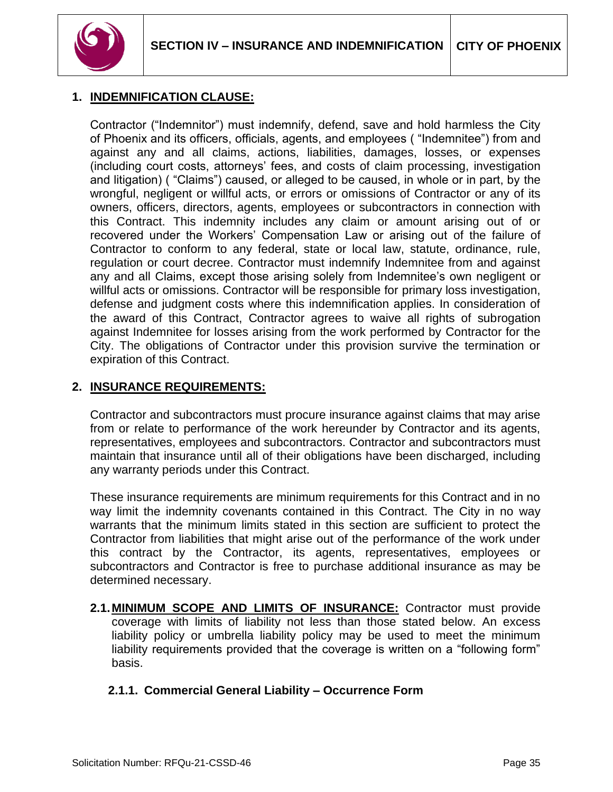

# **1. INDEMNIFICATION CLAUSE:**

Contractor ("Indemnitor") must indemnify, defend, save and hold harmless the City of Phoenix and its officers, officials, agents, and employees ( "Indemnitee") from and against any and all claims, actions, liabilities, damages, losses, or expenses (including court costs, attorneys' fees, and costs of claim processing, investigation and litigation) ( "Claims") caused, or alleged to be caused, in whole or in part, by the wrongful, negligent or willful acts, or errors or omissions of Contractor or any of its owners, officers, directors, agents, employees or subcontractors in connection with this Contract. This indemnity includes any claim or amount arising out of or recovered under the Workers' Compensation Law or arising out of the failure of Contractor to conform to any federal, state or local law, statute, ordinance, rule, regulation or court decree. Contractor must indemnify Indemnitee from and against any and all Claims, except those arising solely from Indemnitee's own negligent or willful acts or omissions. Contractor will be responsible for primary loss investigation, defense and judgment costs where this indemnification applies. In consideration of the award of this Contract, Contractor agrees to waive all rights of subrogation against Indemnitee for losses arising from the work performed by Contractor for the City. The obligations of Contractor under this provision survive the termination or expiration of this Contract.

# **2. INSURANCE REQUIREMENTS:**

Contractor and subcontractors must procure insurance against claims that may arise from or relate to performance of the work hereunder by Contractor and its agents, representatives, employees and subcontractors. Contractor and subcontractors must maintain that insurance until all of their obligations have been discharged, including any warranty periods under this Contract.

These insurance requirements are minimum requirements for this Contract and in no way limit the indemnity covenants contained in this Contract. The City in no way warrants that the minimum limits stated in this section are sufficient to protect the Contractor from liabilities that might arise out of the performance of the work under this contract by the Contractor, its agents, representatives, employees or subcontractors and Contractor is free to purchase additional insurance as may be determined necessary.

**2.1.MINIMUM SCOPE AND LIMITS OF INSURANCE:** Contractor must provide coverage with limits of liability not less than those stated below. An excess liability policy or umbrella liability policy may be used to meet the minimum liability requirements provided that the coverage is written on a "following form" basis.

# **2.1.1. Commercial General Liability – Occurrence Form**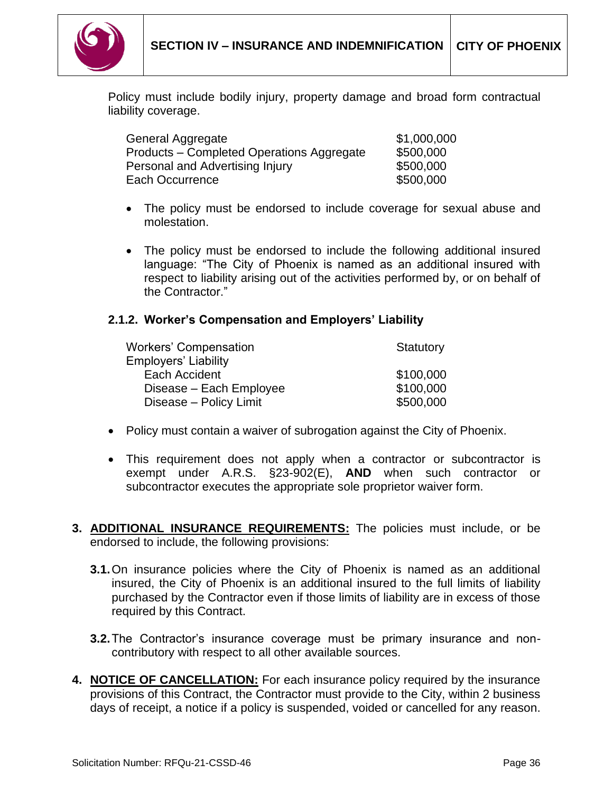

Policy must include bodily injury, property damage and broad form contractual liability coverage.

| \$1,000,000 |
|-------------|
| \$500,000   |
| \$500,000   |
| \$500,000   |
|             |

- The policy must be endorsed to include coverage for sexual abuse and molestation.
- The policy must be endorsed to include the following additional insured language: "The City of Phoenix is named as an additional insured with respect to liability arising out of the activities performed by, or on behalf of the Contractor."

#### **2.1.2. Worker's Compensation and Employers' Liability**

| Statutory |
|-----------|
|           |
| \$100,000 |
| \$100,000 |
| \$500,000 |
|           |

- Policy must contain a waiver of subrogation against the City of Phoenix.
- This requirement does not apply when a contractor or subcontractor is exempt under A.R.S. §23-902(E), **AND** when such contractor or subcontractor executes the appropriate sole proprietor waiver form.
- **3. ADDITIONAL INSURANCE REQUIREMENTS:** The policies must include, or be endorsed to include, the following provisions:
	- **3.1.**On insurance policies where the City of Phoenix is named as an additional insured, the City of Phoenix is an additional insured to the full limits of liability purchased by the Contractor even if those limits of liability are in excess of those required by this Contract.
	- **3.2.**The Contractor's insurance coverage must be primary insurance and noncontributory with respect to all other available sources.
- **4. NOTICE OF CANCELLATION:** For each insurance policy required by the insurance provisions of this Contract, the Contractor must provide to the City, within 2 business days of receipt, a notice if a policy is suspended, voided or cancelled for any reason.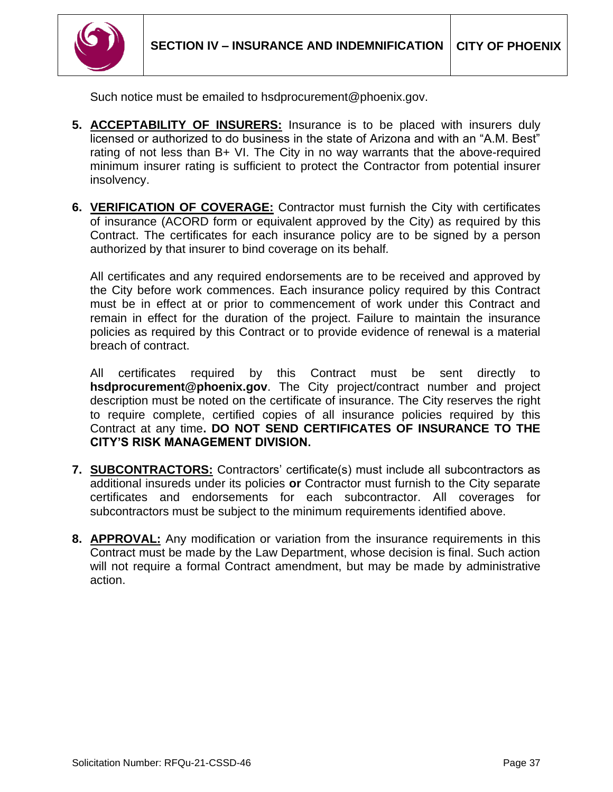

Such notice must be emailed to hsdprocurement@phoenix.gov.

- **5. ACCEPTABILITY OF INSURERS:** Insurance is to be placed with insurers duly licensed or authorized to do business in the state of Arizona and with an "A.M. Best" rating of not less than B+ VI. The City in no way warrants that the above-required minimum insurer rating is sufficient to protect the Contractor from potential insurer insolvency.
- **6. VERIFICATION OF COVERAGE:** Contractor must furnish the City with certificates of insurance (ACORD form or equivalent approved by the City) as required by this Contract. The certificates for each insurance policy are to be signed by a person authorized by that insurer to bind coverage on its behalf*.*

All certificates and any required endorsements are to be received and approved by the City before work commences. Each insurance policy required by this Contract must be in effect at or prior to commencement of work under this Contract and remain in effect for the duration of the project. Failure to maintain the insurance policies as required by this Contract or to provide evidence of renewal is a material breach of contract.

All certificates required by this Contract must be sent directly to **hsdprocurement@phoenix.gov**. The City project/contract number and project description must be noted on the certificate of insurance. The City reserves the right to require complete, certified copies of all insurance policies required by this Contract at any time**. DO NOT SEND CERTIFICATES OF INSURANCE TO THE CITY'S RISK MANAGEMENT DIVISION.**

- **7. SUBCONTRACTORS:** Contractors' certificate(s) must include all subcontractors as additional insureds under its policies **or** Contractor must furnish to the City separate certificates and endorsements for each subcontractor. All coverages for subcontractors must be subject to the minimum requirements identified above.
- **8. APPROVAL:** Any modification or variation from the insurance requirements in this Contract must be made by the Law Department, whose decision is final. Such action will not require a formal Contract amendment, but may be made by administrative action.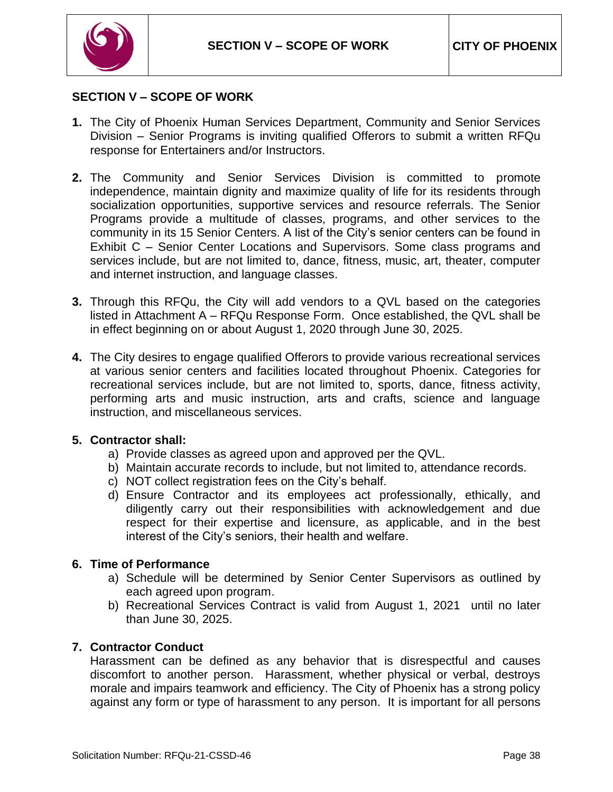

### <span id="page-37-0"></span>**SECTION V – SCOPE OF WORK**

- **1.** The City of Phoenix Human Services Department, Community and Senior Services Division – Senior Programs is inviting qualified Offerors to submit a written RFQu response for Entertainers and/or Instructors.
- **2.** The Community and Senior Services Division is committed to promote independence, maintain dignity and maximize quality of life for its residents through socialization opportunities, supportive services and resource referrals. The Senior Programs provide a multitude of classes, programs, and other services to the community in its 15 Senior Centers. A list of the City's senior centers can be found in Exhibit C – Senior Center Locations and Supervisors. Some class programs and services include, but are not limited to, dance, fitness, music, art, theater, computer and internet instruction, and language classes.
- **3.** Through this RFQu, the City will add vendors to a QVL based on the categories listed in Attachment A – RFQu Response Form. Once established, the QVL shall be in effect beginning on or about August 1, 2020 through June 30, 2025.
- **4.** The City desires to engage qualified Offerors to provide various recreational services at various senior centers and facilities located throughout Phoenix. Categories for recreational services include, but are not limited to, sports, dance, fitness activity, performing arts and music instruction, arts and crafts, science and language instruction, and miscellaneous services.

#### **5. Contractor shall:**

- a) Provide classes as agreed upon and approved per the QVL.
- b) Maintain accurate records to include, but not limited to, attendance records.
- c) NOT collect registration fees on the City's behalf.
- d) Ensure Contractor and its employees act professionally, ethically, and diligently carry out their responsibilities with acknowledgement and due respect for their expertise and licensure, as applicable, and in the best interest of the City's seniors, their health and welfare.

#### **6. Time of Performance**

- a) Schedule will be determined by Senior Center Supervisors as outlined by each agreed upon program.
- b) Recreational Services Contract is valid from August 1, 2021 until no later than June 30, 2025.

#### **7. Contractor Conduct**

Harassment can be defined as any behavior that is disrespectful and causes discomfort to another person. Harassment, whether physical or verbal, destroys morale and impairs teamwork and efficiency. The City of Phoenix has a strong policy against any form or type of harassment to any person. It is important for all persons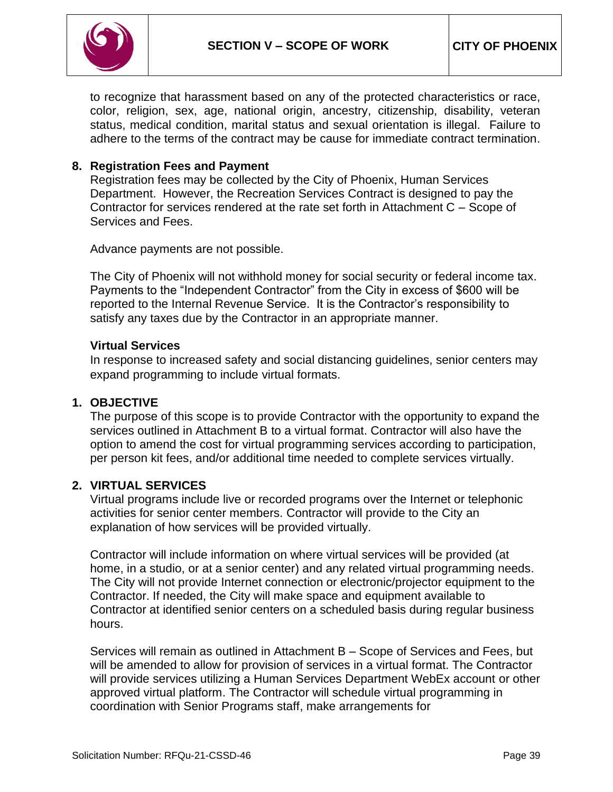

to recognize that harassment based on any of the protected characteristics or race, color, religion, sex, age, national origin, ancestry, citizenship, disability, veteran status, medical condition, marital status and sexual orientation is illegal. Failure to adhere to the terms of the contract may be cause for immediate contract termination.

### **8. Registration Fees and Payment**

Registration fees may be collected by the City of Phoenix, Human Services Department. However, the Recreation Services Contract is designed to pay the Contractor for services rendered at the rate set forth in Attachment C – Scope of Services and Fees.

Advance payments are not possible.

The City of Phoenix will not withhold money for social security or federal income tax. Payments to the "Independent Contractor" from the City in excess of \$600 will be reported to the Internal Revenue Service. It is the Contractor's responsibility to satisfy any taxes due by the Contractor in an appropriate manner.

#### **Virtual Services**

In response to increased safety and social distancing guidelines, senior centers may expand programming to include virtual formats.

### **1. OBJECTIVE**

The purpose of this scope is to provide Contractor with the opportunity to expand the services outlined in Attachment B to a virtual format. Contractor will also have the option to amend the cost for virtual programming services according to participation, per person kit fees, and/or additional time needed to complete services virtually.

#### **2. VIRTUAL SERVICES**

Virtual programs include live or recorded programs over the Internet or telephonic activities for senior center members. Contractor will provide to the City an explanation of how services will be provided virtually.

Contractor will include information on where virtual services will be provided (at home, in a studio, or at a senior center) and any related virtual programming needs. The City will not provide Internet connection or electronic/projector equipment to the Contractor. If needed, the City will make space and equipment available to Contractor at identified senior centers on a scheduled basis during regular business hours.

Services will remain as outlined in Attachment B – Scope of Services and Fees, but will be amended to allow for provision of services in a virtual format. The Contractor will provide services utilizing a Human Services Department WebEx account or other approved virtual platform. The Contractor will schedule virtual programming in coordination with Senior Programs staff, make arrangements for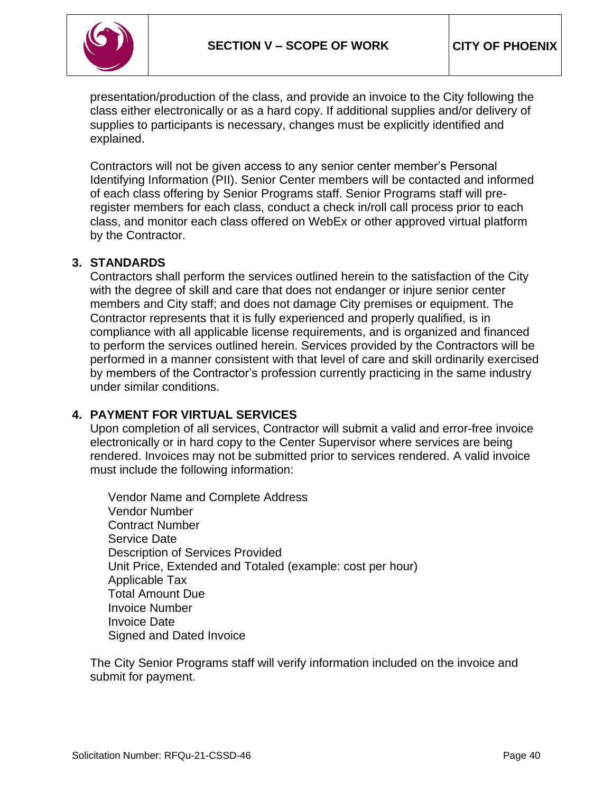

presentation/production of the class, and provide an invoice to the City following the class either electronically or as a hard copy. If additional supplies and/or delivery of

supplies to participants is necessary, changes must be explicitly identified and explained.

Contractors will not be given access to any senior center member's Personal Identifying Information (PII). Senior Center members will be contacted and informed of each class offering by Senior Programs staff. Senior Programs staff will preregister members for each class, conduct a check in/roll call process prior to each class, and monitor each class offered on WebEx or other approved virtual platform by the Contractor.

#### **3. STANDARDS**

Contractors shall perform the services outlined herein to the satisfaction of the City with the degree of skill and care that does not endanger or injure senior center members and City staff; and does not damage City premises or equipment. The Contractor represents that it is fully experienced and properly qualified, is in compliance with all applicable license requirements, and is organized and financed to perform the services outlined herein. Services provided by the Contractors will be performed in a manner consistent with that level of care and skill ordinarily exercised by members of the Contractor's profession currently practicing in the same industry under similar conditions.

#### **4. PAYMENT FOR VIRTUAL SERVICES**

Upon completion of all services, Contractor will submit a valid and error-free invoice electronically or in hard copy to the Center Supervisor where services are being rendered. Invoices may not be submitted prior to services rendered. A valid invoice must include the following information:

Vendor Name and Complete Address Vendor Number Contract Number Service Date Description of Services Provided Unit Price, Extended and Totaled (example: cost per hour) Applicable Tax Total Amount Due Invoice Number Invoice Date Signed and Dated Invoice

The City Senior Programs staff will verify information included on the invoice and submit for payment.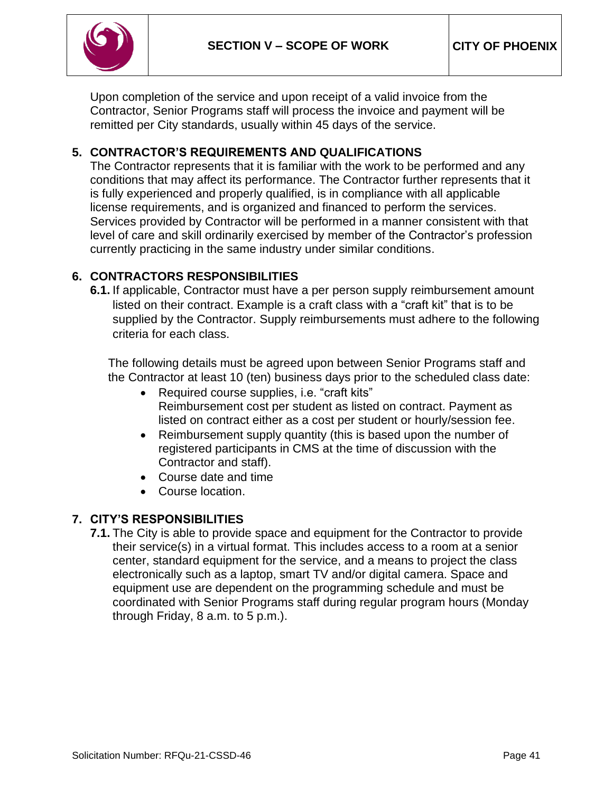

Upon completion of the service and upon receipt of a valid invoice from the Contractor, Senior Programs staff will process the invoice and payment will be remitted per City standards, usually within 45 days of the service.

### **5. CONTRACTOR'S REQUIREMENTS AND QUALIFICATIONS**

The Contractor represents that it is familiar with the work to be performed and any conditions that may affect its performance. The Contractor further represents that it is fully experienced and properly qualified, is in compliance with all applicable license requirements, and is organized and financed to perform the services. Services provided by Contractor will be performed in a manner consistent with that level of care and skill ordinarily exercised by member of the Contractor's profession currently practicing in the same industry under similar conditions.

#### **6. CONTRACTORS RESPONSIBILITIES**

**6.1.** If applicable, Contractor must have a per person supply reimbursement amount listed on their contract. Example is a craft class with a "craft kit" that is to be supplied by the Contractor. Supply reimbursements must adhere to the following criteria for each class.

The following details must be agreed upon between Senior Programs staff and the Contractor at least 10 (ten) business days prior to the scheduled class date:

- Required course supplies, i.e. "craft kits" Reimbursement cost per student as listed on contract. Payment as listed on contract either as a cost per student or hourly/session fee.
- Reimbursement supply quantity (this is based upon the number of registered participants in CMS at the time of discussion with the Contractor and staff).
- Course date and time
- Course location.

#### **7. CITY'S RESPONSIBILITIES**

**7.1.** The City is able to provide space and equipment for the Contractor to provide their service(s) in a virtual format. This includes access to a room at a senior center, standard equipment for the service, and a means to project the class electronically such as a laptop, smart TV and/or digital camera. Space and equipment use are dependent on the programming schedule and must be coordinated with Senior Programs staff during regular program hours (Monday through Friday, 8 a.m. to 5 p.m.).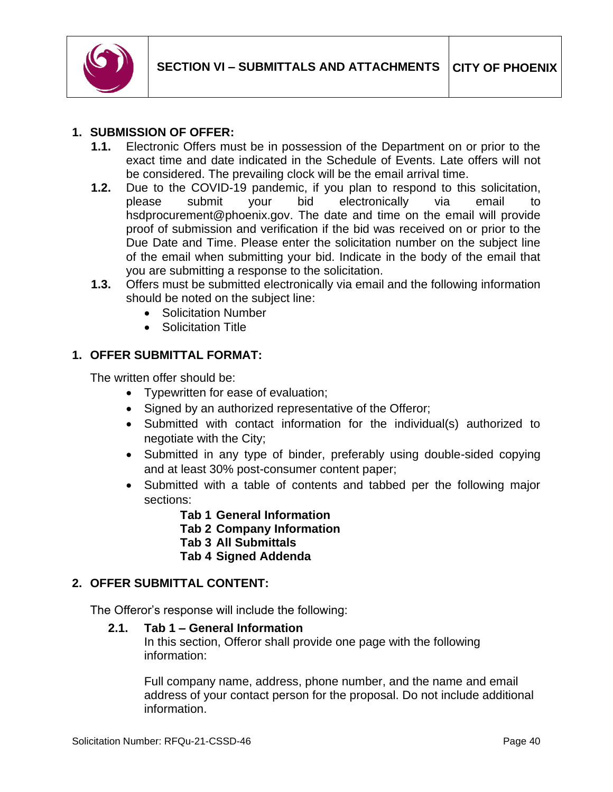

# **1. SUBMISSION OF OFFER:**

- **1.1.** Electronic Offers must be in possession of the Department on or prior to the exact time and date indicated in the Schedule of Events. Late offers will not be considered. The prevailing clock will be the email arrival time.
- **1.2.** Due to the COVID-19 pandemic, if you plan to respond to this solicitation, please submit your bid electronically via email to hsdprocurement@phoenix.gov. The date and time on the email will provide proof of submission and verification if the bid was received on or prior to the Due Date and Time. Please enter the solicitation number on the subject line of the email when submitting your bid. Indicate in the body of the email that you are submitting a response to the solicitation.
- **1.3.** Offers must be submitted electronically via email and the following information should be noted on the subject line:
	- Solicitation Number
	- Solicitation Title

### **1. OFFER SUBMITTAL FORMAT:**

The written offer should be:

- Typewritten for ease of evaluation;
- Signed by an authorized representative of the Offeror;
- Submitted with contact information for the individual(s) authorized to negotiate with the City;
- Submitted in any type of binder, preferably using double-sided copying and at least 30% post-consumer content paper;
- Submitted with a table of contents and tabbed per the following major sections:
	- **Tab 1 General Information**
	- **Tab 2 Company Information**
	- **Tab 3 All Submittals**
	- **Tab 4 Signed Addenda**

#### **2. OFFER SUBMITTAL CONTENT:**

The Offeror's response will include the following:

#### **2.1. Tab 1 – General Information**

In this section, Offeror shall provide one page with the following information:

Full company name, address, phone number, and the name and email address of your contact person for the proposal. Do not include additional information.